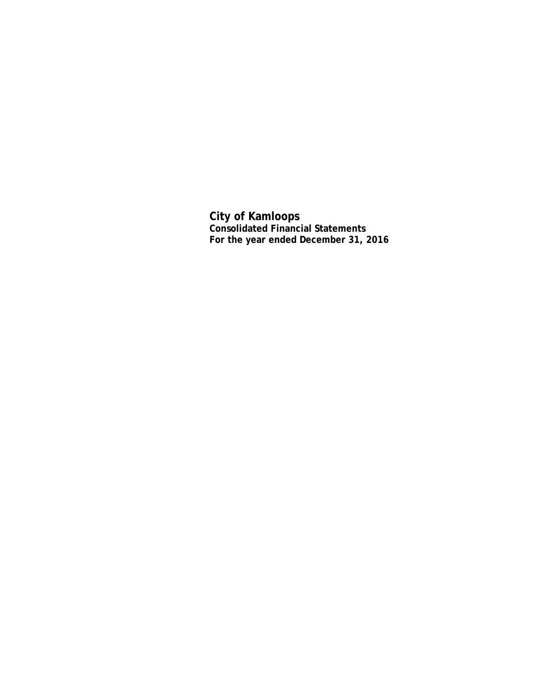**City of Kamloops Consolidated Financial Statements For the year ended December 31, 2016**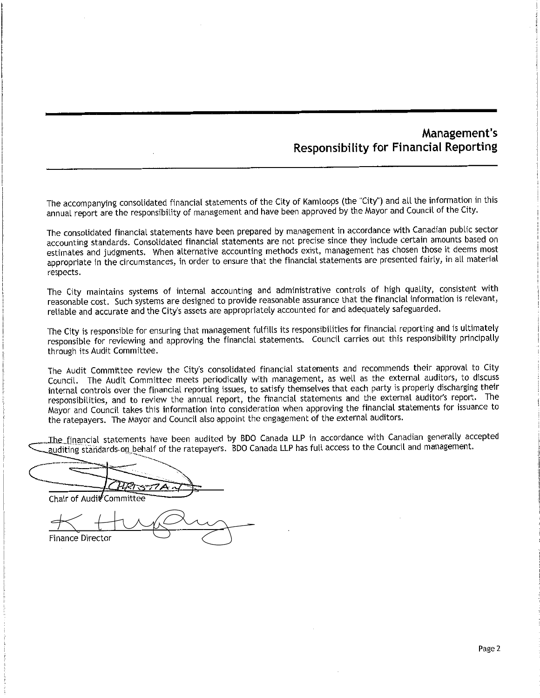# Management's **Responsibility for Financial Reporting**

The accompanying consolidated financial statements of the City of Kamloops (the "City") and all the information in this annual report are the responsibility of management and have been approved by the Mayor and Council of the City.

The consolidated financial statements have been prepared by management in accordance with Canadian public sector accounting standards. Consolidated financial statements are not precise since they include certain amounts based on estimates and judgments. When alternative accounting methods exist, management has chosen those it deems most appropriate in the circumstances, in order to ensure that the financial statements are presented fairly, in all material respects.

The City maintains systems of internal accounting and administrative controls of high quality, consistent with reasonable cost. Such systems are designed to provide reasonable assurance that the financial information is relevant, reliable and accurate and the City's assets are appropriately accounted for and adequately safeguarded.

The City is responsible for ensuring that management fulfills its responsibilities for financial reporting and is ultimately responsible for reviewing and approving the financial statements. Council carries out this responsibility principally through its Audit Committee.

The Audit Committee review the City's consolidated financial statements and recommends their approval to City Council. The Audit Committee meets periodically with management, as well as the external auditors, to discuss internal controls over the financial reporting issues, to satisfy themselves that each party is properly discharging their responsibilities, and to review the annual report, the financial statements and the external auditor's report. The Mayor and Council takes this information into consideration when approving the financial statements for issuance to the ratepayers. The Mayor and Council also appoint the engagement of the external auditors.

The financial statements have been audited by BDO Canada LLP in accordance with Canadian generally accepted auditing standards on behalf of the ratepayers. BDO Canada LLP has full access to the Council and management.

Chair of Audit Committee

**Finance Director**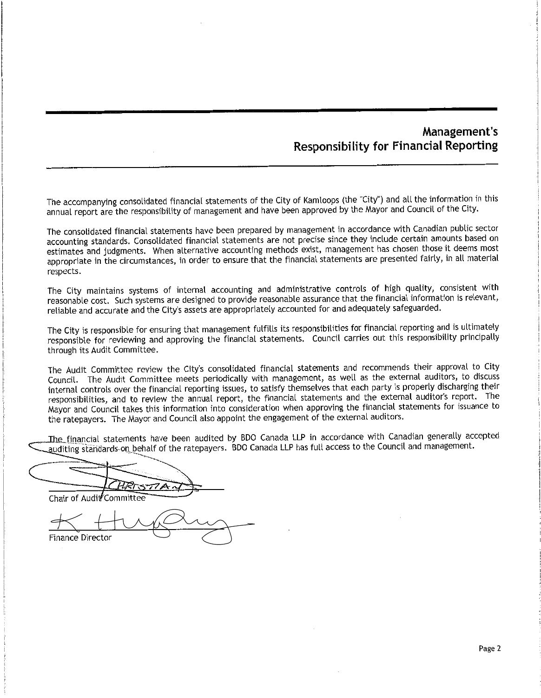# Management's **Responsibility for Financial Reporting**

The accompanying consolidated financial statements of the City of Kamloops (the "City") and all the information in this annual report are the responsibility of management and have been approved by the Mayor and Council of the City.

The consolidated financial statements have been prepared by management in accordance with Canadian public sector accounting standards. Consolidated financial statements are not precise since they include certain amounts based on estimates and judgments. When alternative accounting methods exist, management has chosen those it deems most appropriate in the circumstances, in order to ensure that the financial statements are presented fairly, in all material respects.

The City maintains systems of internal accounting and administrative controls of high quality, consistent with reasonable cost. Such systems are designed to provide reasonable assurance that the financial information is relevant, reliable and accurate and the City's assets are appropriately accounted for and adequately safeguarded.

The City is responsible for ensuring that management fulfills its responsibilities for financial reporting and is ultimately responsible for reviewing and approving the financial statements. Council carries out this responsibility principally through its Audit Committee.

The Audit Committee review the City's consolidated financial statements and recommends their approval to City Council. The Audit Committee meets periodically with management, as well as the external auditors, to discuss internal controls over the financial reporting issues, to satisfy themselves that each party is properly discharging their responsibilities, and to review the annual report, the financial statements and the external auditor's report. The Mayor and Council takes this information into consideration when approving the financial statements for issuance to the ratepayers. The Mayor and Council also appoint the engagement of the external auditors.

The financial statements have been audited by BDO Canada LLP in accordance with Canadian generally accepted auditing standards on behalf of the ratepayers. BDO Canada LLP has full access to the Council and management.

Chair of Audit Committee

**Finance Director**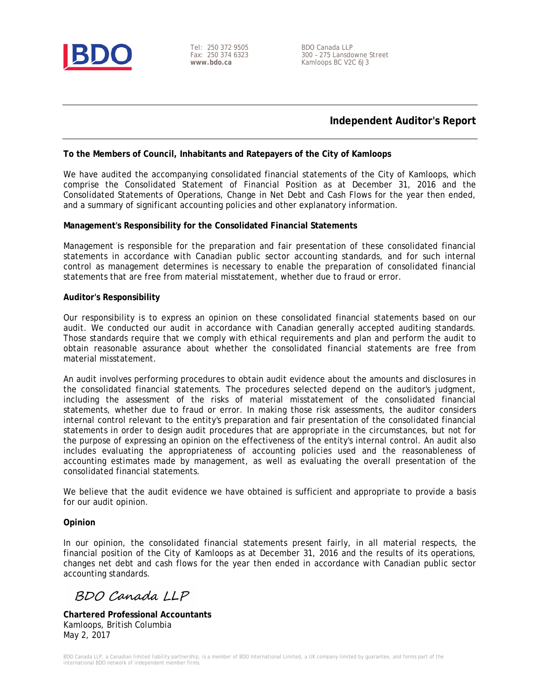

Tel: 250 372 9505 Fax: 250 374 6323 **www.bdo.ca** 

# **Independent Auditor's Report**

## **To the Members of Council, Inhabitants and Ratepayers of the City of Kamloops**

We have audited the accompanying consolidated financial statements of the City of Kamloops, which comprise the Consolidated Statement of Financial Position as at December 31, 2016 and the Consolidated Statements of Operations, Change in Net Debt and Cash Flows for the year then ended, and a summary of significant accounting policies and other explanatory information.

#### **Management's Responsibility for the Consolidated Financial Statements**

Management is responsible for the preparation and fair presentation of these consolidated financial statements in accordance with Canadian public sector accounting standards, and for such internal control as management determines is necessary to enable the preparation of consolidated financial statements that are free from material misstatement, whether due to fraud or error.

#### **Auditor's Responsibility**

Our responsibility is to express an opinion on these consolidated financial statements based on our audit. We conducted our audit in accordance with Canadian generally accepted auditing standards. Those standards require that we comply with ethical requirements and plan and perform the audit to obtain reasonable assurance about whether the consolidated financial statements are free from material misstatement.

An audit involves performing procedures to obtain audit evidence about the amounts and disclosures in the consolidated financial statements. The procedures selected depend on the auditor's judgment, including the assessment of the risks of material misstatement of the consolidated financial statements, whether due to fraud or error. In making those risk assessments, the auditor considers internal control relevant to the entity's preparation and fair presentation of the consolidated financial statements in order to design audit procedures that are appropriate in the circumstances, but not for the purpose of expressing an opinion on the effectiveness of the entity's internal control. An audit also includes evaluating the appropriateness of accounting policies used and the reasonableness of accounting estimates made by management, as well as evaluating the overall presentation of the consolidated financial statements.

We believe that the audit evidence we have obtained is sufficient and appropriate to provide a basis for our audit opinion.

#### **Opinion**

In our opinion, the consolidated financial statements present fairly, in all material respects, the financial position of the City of Kamloops as at December 31, 2016 and the results of its operations, changes net debt and cash flows for the year then ended in accordance with Canadian public sector accounting standards.

BDO Canada LLP

**Chartered Professional Accountants**  Kamloops, British Columbia May 2, 2017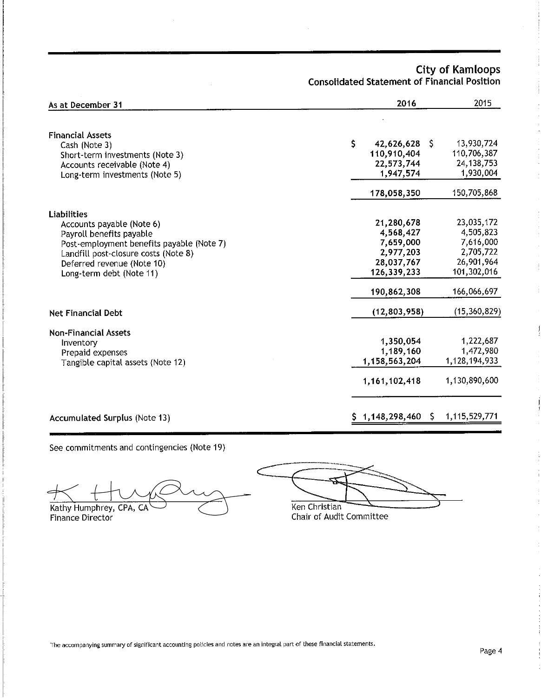| As at December 31                                                                                                                                                                                                          | 2016                                                                                          | 2015                                                                                          |
|----------------------------------------------------------------------------------------------------------------------------------------------------------------------------------------------------------------------------|-----------------------------------------------------------------------------------------------|-----------------------------------------------------------------------------------------------|
| <b>Financial Assets</b><br>Cash (Note 3)<br>Short-term investments (Note 3)<br>Accounts receivable (Note 4)<br>Long-term investments (Note 5)                                                                              | \$<br>42,626,628<br>110,910,404<br>22,573,744<br>1,947,574                                    | 13,930,724<br>-S<br>110,706,387<br>24, 138, 753<br>1,930,004                                  |
|                                                                                                                                                                                                                            | 178,058,350                                                                                   | 150,705,868                                                                                   |
| <b>Liabilities</b><br>Accounts payable (Note 6)<br>Payroll benefits payable<br>Post-employment benefits payable (Note 7)<br>Landfill post-closure costs (Note 8)<br>Deferred revenue (Note 10)<br>Long-term debt (Note 11) | 21,280,678<br>4,568,427<br>7,659,000<br>2,977,203<br>28,037,767<br>126,339,233<br>190,862,308 | 23,035,172<br>4,505,823<br>7,616,000<br>2,705,722<br>26,901,964<br>101,302,016<br>166,066,697 |
| Net Financial Debt                                                                                                                                                                                                         | (12, 803, 958)                                                                                | (15, 360, 829)                                                                                |
| <b>Non-Financial Assets</b><br>Inventory<br>Prepaid expenses<br>Tangible capital assets (Note 12)                                                                                                                          | 1,350,054<br>1,189,160<br>1,158,563,204<br>1,161,102,418                                      | 1,222,687<br>1,472,980<br>1,128,194,933<br>1,130,890,600                                      |
| Aggustated Curries (Note 12)                                                                                                                                                                                               | <b>C 1 148 298 460 C</b>                                                                      | 1 115 529 771                                                                                 |

# City of Kamloops<br>Consolidated Statement of Financial Position

Accumulated Surplus (Note 13)

See commitments and contingencies (Note 19)

Kathy Humphrey, CPA, CA

Finance Director

| Ken Christian            |  |
|--------------------------|--|
| Chair of Audit Committee |  |

The accompanying summary of significant accounting policies and notes are an integral part of these financial statements.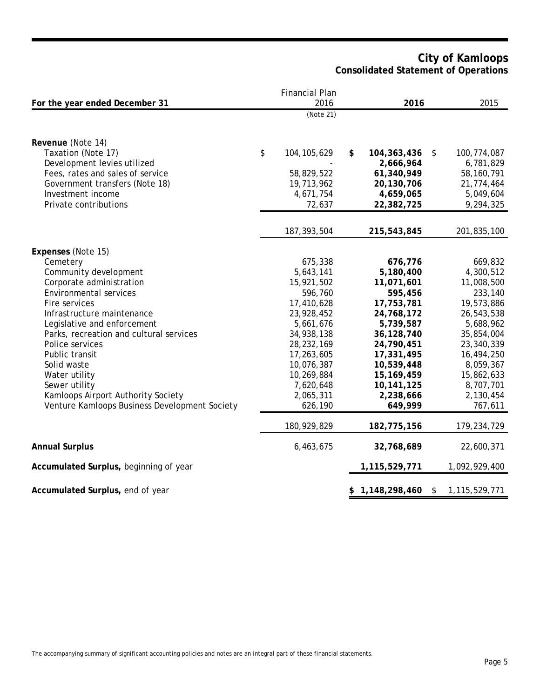# **City of Kamloops Consolidated Statement of Operations**

|                                               | <b>Financial Plan</b> |               |    |               |      |               |
|-----------------------------------------------|-----------------------|---------------|----|---------------|------|---------------|
| For the year ended December 31                |                       | 2016          |    | 2016          | 2015 |               |
|                                               |                       | (Note 21)     |    |               |      |               |
|                                               |                       |               |    |               |      |               |
| Revenue (Note 14)                             |                       |               |    |               |      |               |
| Taxation (Note 17)                            | \$                    | 104, 105, 629 | \$ | 104, 363, 436 | S.   | 100,774,087   |
| Development levies utilized                   |                       |               |    | 2,666,964     |      | 6,781,829     |
| Fees, rates and sales of service              |                       | 58,829,522    |    | 61,340,949    |      | 58,160,791    |
| Government transfers (Note 18)                |                       | 19,713,962    |    | 20,130,706    |      | 21,774,464    |
| Investment income                             |                       | 4,671,754     |    | 4,659,065     |      | 5,049,604     |
| Private contributions                         |                       | 72,637        |    | 22,382,725    |      | 9,294,325     |
|                                               |                       |               |    |               |      |               |
|                                               |                       | 187,393,504   |    | 215,543,845   |      | 201,835,100   |
| Expenses (Note 15)                            |                       |               |    |               |      |               |
| Cemetery                                      |                       | 675,338       |    | 676,776       |      | 669,832       |
| Community development                         |                       | 5,643,141     |    | 5,180,400     |      | 4,300,512     |
| Corporate administration                      |                       | 15,921,502    |    | 11,071,601    |      | 11,008,500    |
| <b>Environmental services</b>                 |                       | 596,760       |    | 595,456       |      | 233,140       |
| Fire services                                 |                       | 17,410,628    |    | 17,753,781    |      | 19,573,886    |
| Infrastructure maintenance                    |                       | 23,928,452    |    | 24,768,172    |      | 26,543,538    |
| Legislative and enforcement                   |                       | 5,661,676     |    | 5,739,587     |      | 5,688,962     |
| Parks, recreation and cultural services       |                       | 34,938,138    |    | 36,128,740    |      | 35,854,004    |
| Police services                               |                       | 28,232,169    |    | 24,790,451    |      | 23,340,339    |
| Public transit                                |                       | 17,263,605    |    | 17,331,495    |      | 16,494,250    |
| Solid waste                                   |                       | 10,076,387    |    | 10,539,448    |      | 8,059,367     |
| Water utility                                 |                       | 10,269,884    |    | 15, 169, 459  |      | 15,862,633    |
| Sewer utility                                 |                       | 7,620,648     |    | 10,141,125    |      | 8,707,701     |
| Kamloops Airport Authority Society            |                       | 2,065,311     |    | 2,238,666     |      | 2,130,454     |
| Venture Kamloops Business Development Society |                       | 626,190       |    | 649,999       |      | 767,611       |
|                                               |                       | 180,929,829   |    | 182,775,156   |      | 179,234,729   |
| <b>Annual Surplus</b>                         |                       | 6,463,675     |    | 32,768,689    |      | 22,600,371    |
| Accumulated Surplus, beginning of year        |                       |               |    | 1,115,529,771 |      | 1,092,929,400 |
| Accumulated Surplus, end of year              |                       |               |    | 1,148,298,460 | \$   | 1,115,529,771 |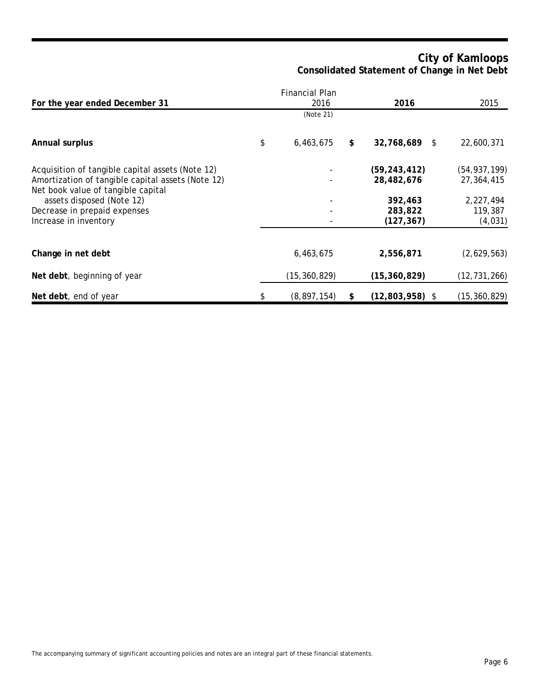# **City of Kamloops**

| For the year ended December 31                                                          |    | <b>Financial Plan</b><br>2016 | 2016                    | 2015           |
|-----------------------------------------------------------------------------------------|----|-------------------------------|-------------------------|----------------|
|                                                                                         |    | (Note 21)                     |                         |                |
| Annual surplus                                                                          | \$ | 6,463,675                     | \$<br>32,768,689 \$     | 22,600,371     |
| Acquisition of tangible capital assets (Note 12)                                        |    |                               | (59, 243, 412)          | (54, 937, 199) |
| Amortization of tangible capital assets (Note 12)<br>Net book value of tangible capital |    |                               | 28,482,676              | 27,364,415     |
| assets disposed (Note 12)                                                               |    |                               | 392,463                 | 2,227,494      |
| Decrease in prepaid expenses                                                            |    |                               | 283,822                 | 119,387        |
| Increase in inventory                                                                   |    |                               | (127, 367)              | (4, 031)       |
| Change in net debt                                                                      |    | 6,463,675                     | 2,556,871               | (2,629,563)    |
| Net debt, beginning of year                                                             |    | (15, 360, 829)                | (15, 360, 829)          | (12, 731, 266) |
| Net debt, end of year                                                                   | \$ | (8, 897, 154)                 | \$<br>$(12,803,958)$ \$ | (15, 360, 829) |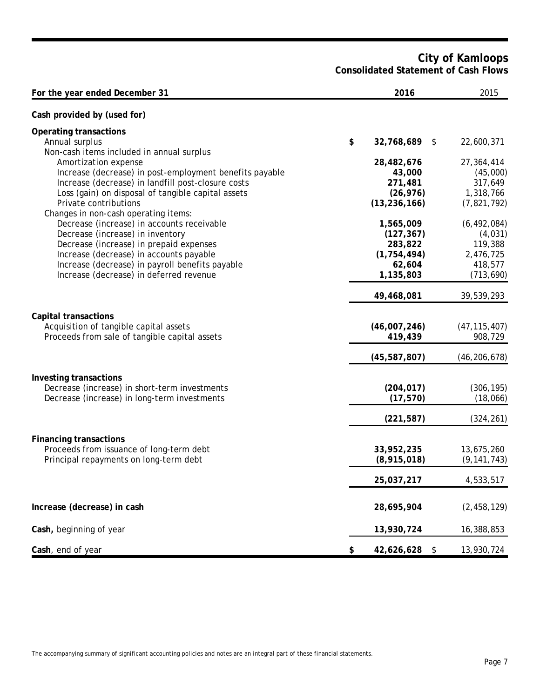**City of Kamloops**

**Consolidated Statement of Cash Flows**

| For the year ended December 31                                          | 2016                | 2015           |
|-------------------------------------------------------------------------|---------------------|----------------|
| Cash provided by (used for)                                             |                     |                |
| <b>Operating transactions</b>                                           |                     |                |
| Annual surplus                                                          | \$<br>32,768,689 \$ | 22,600,371     |
| Non-cash items included in annual surplus                               |                     |                |
| Amortization expense                                                    | 28,482,676          | 27,364,414     |
| Increase (decrease) in post-employment benefits payable                 | 43,000              | (45,000)       |
| Increase (decrease) in landfill post-closure costs                      | 271,481             | 317,649        |
| Loss (gain) on disposal of tangible capital assets                      | (26, 976)           | 1,318,766      |
| Private contributions                                                   | (13, 236, 166)      | (7, 821, 792)  |
| Changes in non-cash operating items:                                    |                     |                |
| Decrease (increase) in accounts receivable                              | 1,565,009           | (6, 492, 084)  |
| Decrease (increase) in inventory                                        | (127, 367)          | (4,031)        |
| Decrease (increase) in prepaid expenses                                 | 283,822             | 119,388        |
| Increase (decrease) in accounts payable                                 | (1, 754, 494)       | 2,476,725      |
| Increase (decrease) in payroll benefits payable                         | 62,604              | 418,577        |
| Increase (decrease) in deferred revenue                                 | 1,135,803           | (713, 690)     |
|                                                                         | 49,468,081          | 39,539,293     |
| Capital transactions                                                    |                     |                |
| Acquisition of tangible capital assets                                  | (46,007,246)        | (47, 115, 407) |
| Proceeds from sale of tangible capital assets                           | 419,439             | 908,729        |
|                                                                         | (45, 587, 807)      | (46, 206, 678) |
|                                                                         |                     |                |
| Investing transactions<br>Decrease (increase) in short-term investments | (204, 017)          | (306, 195)     |
| Decrease (increase) in long-term investments                            | (17, 570)           | (18,066)       |
|                                                                         |                     |                |
|                                                                         | (221, 587)          | (324, 261)     |
| <b>Financing transactions</b>                                           |                     |                |
| Proceeds from issuance of long-term debt                                | 33,952,235          | 13,675,260     |
| Principal repayments on long-term debt                                  | (8,915,018)         | (9, 141, 743)  |
|                                                                         | 25,037,217          | 4,533,517      |
| Increase (decrease) in cash                                             | 28,695,904          | (2, 458, 129)  |
| Cash, beginning of year                                                 | 13,930,724          | 16,388,853     |
|                                                                         |                     |                |
| Cash, end of year                                                       | \$<br>42,626,628 \$ | 13,930,724     |

The accompanying summary of significant accounting policies and notes are an integral part of these financial statements.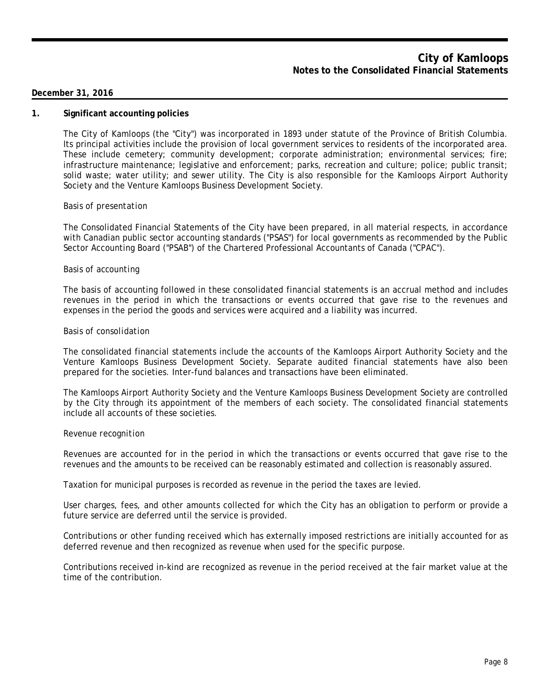## **1. Significant accounting policies**

The City of Kamloops (the "City") was incorporated in 1893 under statute of the Province of British Columbia. Its principal activities include the provision of local government services to residents of the incorporated area. These include cemetery; community development; corporate administration; environmental services; fire; infrastructure maintenance; legislative and enforcement; parks, recreation and culture; police; public transit; solid waste; water utility; and sewer utility. The City is also responsible for the Kamloops Airport Authority Society and the Venture Kamloops Business Development Society.

## *Basis of presentation*

The Consolidated Financial Statements of the City have been prepared, in all material respects, in accordance with Canadian public sector accounting standards ("PSAS") for local governments as recommended by the Public Sector Accounting Board ("PSAB") of the Chartered Professional Accountants of Canada ("CPAC").

## *Basis of accounting*

The basis of accounting followed in these consolidated financial statements is an accrual method and includes revenues in the period in which the transactions or events occurred that gave rise to the revenues and expenses in the period the goods and services were acquired and a liability was incurred.

#### *Basis of consolidation*

The consolidated financial statements include the accounts of the Kamloops Airport Authority Society and the Venture Kamloops Business Development Society. Separate audited financial statements have also been prepared for the societies. Inter-fund balances and transactions have been eliminated.

The Kamloops Airport Authority Society and the Venture Kamloops Business Development Society are controlled by the City through its appointment of the members of each society. The consolidated financial statements include all accounts of these societies.

#### *Revenue recognition*

Revenues are accounted for in the period in which the transactions or events occurred that gave rise to the revenues and the amounts to be received can be reasonably estimated and collection is reasonably assured.

Taxation for municipal purposes is recorded as revenue in the period the taxes are levied.

User charges, fees, and other amounts collected for which the City has an obligation to perform or provide a future service are deferred until the service is provided.

Contributions or other funding received which has externally imposed restrictions are initially accounted for as deferred revenue and then recognized as revenue when used for the specific purpose.

Contributions received in-kind are recognized as revenue in the period received at the fair market value at the time of the contribution.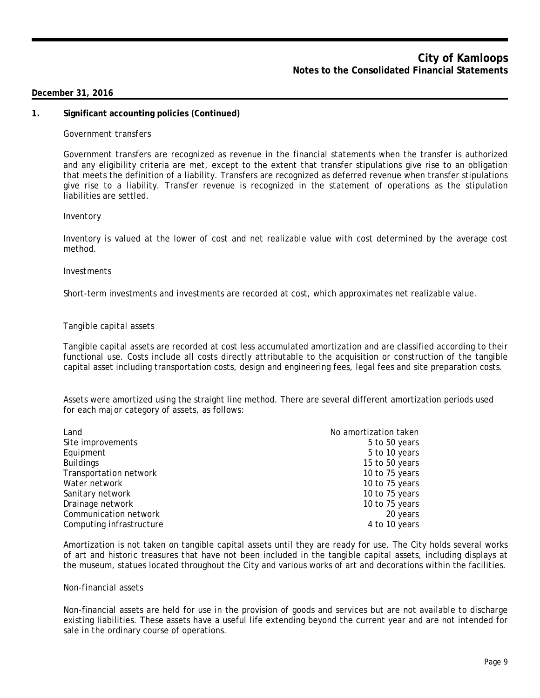# **1. Significant accounting policies (Continued)**

#### *Government transfers*

Government transfers are recognized as revenue in the financial statements when the transfer is authorized and any eligibility criteria are met, except to the extent that transfer stipulations give rise to an obligation that meets the definition of a liability. Transfers are recognized as deferred revenue when transfer stipulations give rise to a liability. Transfer revenue is recognized in the statement of operations as the stipulation liabilities are settled.

#### *Inventory*

Inventory is valued at the lower of cost and net realizable value with cost determined by the average cost method.

## *Investments*

Short-term investments and investments are recorded at cost, which approximates net realizable value.

## *Tangible capital assets*

Tangible capital assets are recorded at cost less accumulated amortization and are classified according to their functional use. Costs include all costs directly attributable to the acquisition or construction of the tangible capital asset including transportation costs, design and engineering fees, legal fees and site preparation costs.

Assets were amortized using the straight line method. There are several different amortization periods used for each major category of assets, as follows:

| Land                     | No amortization taken |
|--------------------------|-----------------------|
| Site improvements        | 5 to 50 years         |
| Equipment                | 5 to 10 years         |
| <b>Buildings</b>         | 15 to 50 years        |
| Transportation network   | 10 to 75 years        |
| Water network            | 10 to 75 years        |
| Sanitary network         | 10 to 75 years        |
| Drainage network         | 10 to 75 years        |
| Communication network    | 20 years              |
| Computing infrastructure | 4 to 10 years         |

Amortization is not taken on tangible capital assets until they are ready for use. The City holds several works of art and historic treasures that have not been included in the tangible capital assets, including displays at the museum, statues located throughout the City and various works of art and decorations within the facilities.

#### *Non-financial assets*

Non-financial assets are held for use in the provision of goods and services but are not available to discharge existing liabilities. These assets have a useful life extending beyond the current year and are not intended for sale in the ordinary course of operations.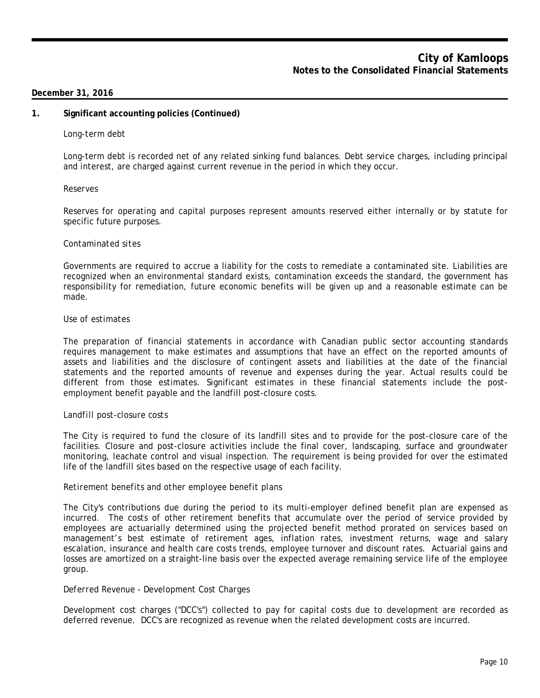# **1. Significant accounting policies (Continued)**

#### *Long-term debt*

Long-term debt is recorded net of any related sinking fund balances. Debt service charges, including principal and interest, are charged against current revenue in the period in which they occur.

#### *Reserves*

Reserves for operating and capital purposes represent amounts reserved either internally or by statute for specific future purposes.

## *Contaminated sites*

Governments are required to accrue a liability for the costs to remediate a contaminated site. Liabilities are recognized when an environmental standard exists, contamination exceeds the standard, the government has responsibility for remediation, future economic benefits will be given up and a reasonable estimate can be made.

# *Use of estimates*

The preparation of financial statements in accordance with Canadian public sector accounting standards requires management to make estimates and assumptions that have an effect on the reported amounts of assets and liabilities and the disclosure of contingent assets and liabilities at the date of the financial statements and the reported amounts of revenue and expenses during the year. Actual results could be different from those estimates. Significant estimates in these financial statements include the postemployment benefit payable and the landfill post-closure costs.

#### *Landfill post-closure costs*

The City is required to fund the closure of its landfill sites and to provide for the post-closure care of the facilities. Closure and post-closure activities include the final cover, landscaping, surface and groundwater monitoring, leachate control and visual inspection. The requirement is being provided for over the estimated life of the landfill sites based on the respective usage of each facility.

#### *Retirement benefits and other employee benefit plans*

The City's contributions due during the period to its multi-employer defined benefit plan are expensed as incurred. The costs of other retirement benefits that accumulate over the period of service provided by employees are actuarially determined using the projected benefit method prorated on services based on management's best estimate of retirement ages, inflation rates, investment returns, wage and salary escalation, insurance and health care costs trends, employee turnover and discount rates. Actuarial gains and losses are amortized on a straight-line basis over the expected average remaining service life of the employee group.

# *Deferred Revenue - Development Cost Charges*

Development cost charges ("DCC's") collected to pay for capital costs due to development are recorded as deferred revenue. DCC's are recognized as revenue when the related development costs are incurred.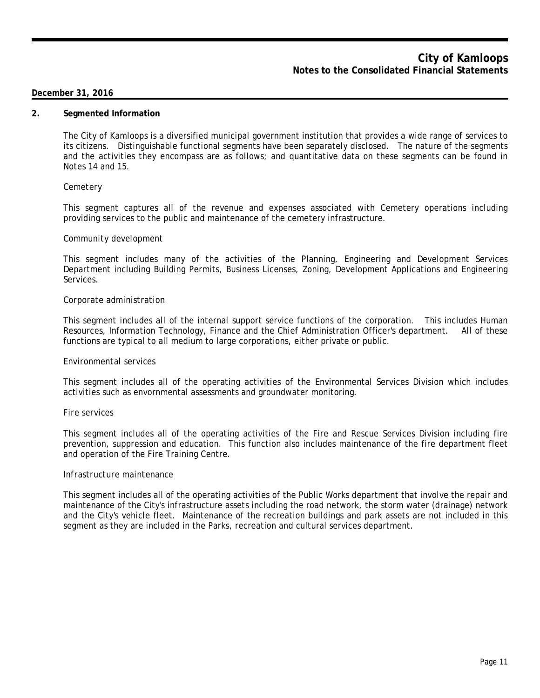# **City of Kamloops Notes to the Consolidated Financial Statements**

## **December 31, 2016**

## **2. Segmented Information**

The City of Kamloops is a diversified municipal government institution that provides a wide range of services to its citizens. Distinguishable functional segments have been separately disclosed. The nature of the segments and the activities they encompass are as follows; and quantitative data on these segments can be found in Notes 14 and 15.

## *Cemetery*

This segment captures all of the revenue and expenses associated with Cemetery operations including providing services to the public and maintenance of the cemetery infrastructure.

#### *Community development*

This segment includes many of the activities of the Planning, Engineering and Development Services Department including Building Permits, Business Licenses, Zoning, Development Applications and Engineering Services.

## *Corporate administration*

This segment includes all of the internal support service functions of the corporation. This includes Human Resources, Information Technology, Finance and the Chief Administration Officer's department. All of these functions are typical to all medium to large corporations, either private or public.

# *Environmental services*

This segment includes all of the operating activities of the Environmental Services Division which includes activities such as envornmental assessments and groundwater monitoring.

#### *Fire services*

This segment includes all of the operating activities of the Fire and Rescue Services Division including fire prevention, suppression and education. This function also includes maintenance of the fire department fleet and operation of the Fire Training Centre.

#### *Infrastructure maintenance*

This segment includes all of the operating activities of the Public Works department that involve the repair and maintenance of the City's infrastructure assets including the road network, the storm water (drainage) network and the City's vehicle fleet. Maintenance of the recreation buildings and park assets are not included in this segment as they are included in the Parks, recreation and cultural services department.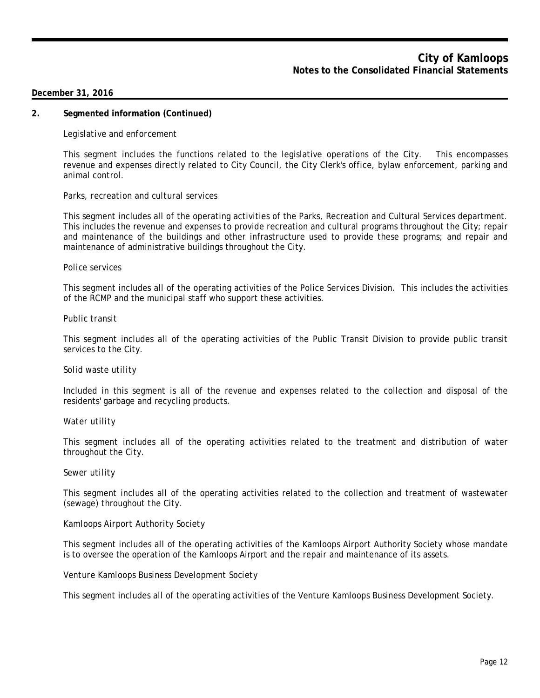# **2. Segmented information (Continued)**

#### *Legislative and enforcement*

This segment includes the functions related to the legislative operations of the City. This encompasses revenue and expenses directly related to City Council, the City Clerk's office, bylaw enforcement, parking and animal control.

#### *Parks, recreation and cultural services*

This segment includes all of the operating activities of the Parks, Recreation and Cultural Services department. This includes the revenue and expenses to provide recreation and cultural programs throughout the City; repair and maintenance of the buildings and other infrastructure used to provide these programs; and repair and maintenance of administrative buildings throughout the City.

#### *Police services*

This segment includes all of the operating activities of the Police Services Division. This includes the activities of the RCMP and the municipal staff who support these activities.

#### *Public transit*

This segment includes all of the operating activities of the Public Transit Division to provide public transit services to the City.

# *Solid waste utility*

Included in this segment is all of the revenue and expenses related to the collection and disposal of the residents' garbage and recycling products.

#### *Water utility*

This segment includes all of the operating activities related to the treatment and distribution of water throughout the City.

## *Sewer utility*

This segment includes all of the operating activities related to the collection and treatment of wastewater (sewage) throughout the City.

#### *Kamloops Airport Authority Society*

This segment includes all of the operating activities of the Kamloops Airport Authority Society whose mandate is to oversee the operation of the Kamloops Airport and the repair and maintenance of its assets.

#### *Venture Kamloops Business Development Society*

This segment includes all of the operating activities of the Venture Kamloops Business Development Society.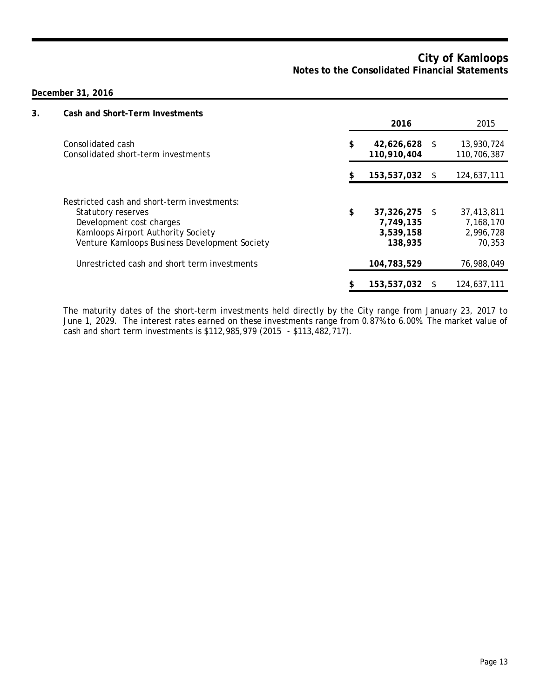# **City of Kamloops Notes to the Consolidated Financial Statements**

# **December 31, 2016**

| 3. | Cash and Short-Term Investments                                                                                                                                                      | 2016 | 2015                                                 |  |                                                |
|----|--------------------------------------------------------------------------------------------------------------------------------------------------------------------------------------|------|------------------------------------------------------|--|------------------------------------------------|
|    | Consolidated cash<br>Consolidated short-term investments                                                                                                                             | \$   | $42,626,628$ \$<br>110,910,404                       |  | 13,930,724<br>110,706,387                      |
|    |                                                                                                                                                                                      | S    | 153,537,032 \$                                       |  | 124,637,111                                    |
|    | Restricted cash and short-term investments:<br>Statutory reserves<br>Development cost charges<br>Kamloops Airport Authority Society<br>Venture Kamloops Business Development Society | \$   | $37,326,275$ \$<br>7,749,135<br>3,539,158<br>138,935 |  | 37,413,811<br>7,168,170<br>2,996,728<br>70,353 |
|    | Unrestricted cash and short term investments                                                                                                                                         |      | 104,783,529                                          |  | 76,988,049                                     |
|    |                                                                                                                                                                                      |      | 153,537,032 \$                                       |  | 124,637,111                                    |

The maturity dates of the short-term investments held directly by the City range from January 23, 2017 to June 1, 2029. The interest rates earned on these investments range from 0.87% to 6.00%. The market value of cash and short term investments is \$112,985,979 (2015 - \$113,482,717).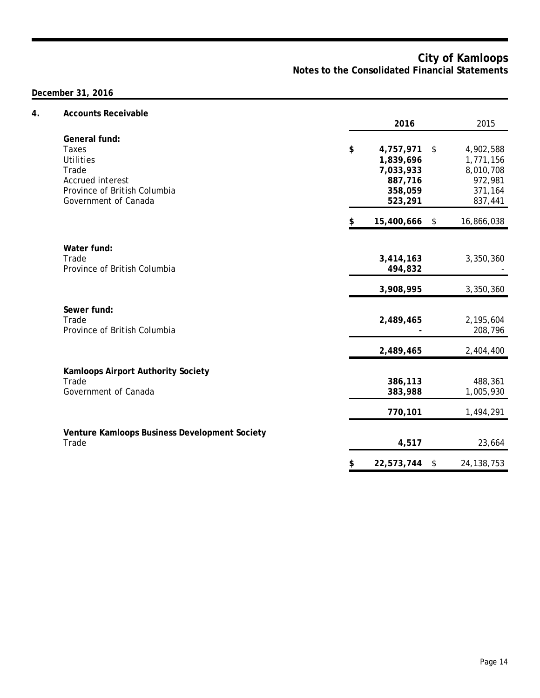# **City of Kamloops Notes to the Consolidated Financial Statements**

# **December 31, 2016**

| 4. | <b>Accounts Receivable</b>                                                                                                      | 2016                                                                       |            | 2015                                                                 |
|----|---------------------------------------------------------------------------------------------------------------------------------|----------------------------------------------------------------------------|------------|----------------------------------------------------------------------|
|    | General fund:<br>Taxes<br><b>Utilities</b><br>Trade<br>Accrued interest<br>Province of British Columbia<br>Government of Canada | \$<br>4,757,971<br>1,839,696<br>7,033,933<br>887,716<br>358,059<br>523,291 | \$         | 4,902,588<br>1,771,156<br>8,010,708<br>972,981<br>371,164<br>837,441 |
|    |                                                                                                                                 | \$<br>15,400,666                                                           | $\sqrt{3}$ | 16,866,038                                                           |
|    | Water fund:<br>Trade<br>Province of British Columbia                                                                            | 3,414,163<br>494,832                                                       |            | 3,350,360                                                            |
|    |                                                                                                                                 | 3,908,995                                                                  |            | 3,350,360                                                            |
|    | Sewer fund:<br>Trade<br>Province of British Columbia                                                                            | 2,489,465                                                                  |            | 2,195,604<br>208,796                                                 |
|    |                                                                                                                                 | 2,489,465                                                                  |            | 2,404,400                                                            |
|    | Kamloops Airport Authority Society<br>Trade<br>Government of Canada                                                             | 386,113<br>383,988                                                         |            | 488,361<br>1,005,930                                                 |
|    |                                                                                                                                 | 770,101                                                                    |            | 1,494,291                                                            |
|    | Venture Kamloops Business Development Society<br>Trade                                                                          | 4,517                                                                      |            | 23,664                                                               |
|    |                                                                                                                                 | \$<br>22,573,744                                                           | \$         | 24, 138, 753                                                         |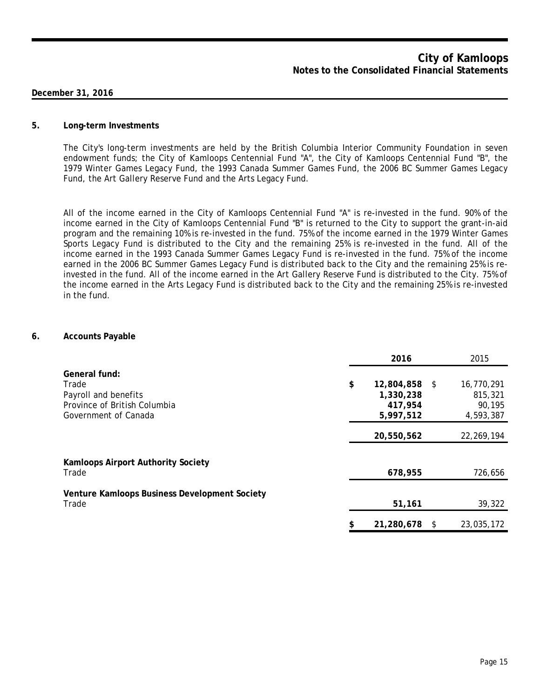# **5. Long-term Investments**

The City's long-term investments are held by the British Columbia Interior Community Foundation in seven endowment funds; the City of Kamloops Centennial Fund "A", the City of Kamloops Centennial Fund "B", the 1979 Winter Games Legacy Fund, the 1993 Canada Summer Games Fund, the 2006 BC Summer Games Legacy Fund, the Art Gallery Reserve Fund and the Arts Legacy Fund.

All of the income earned in the City of Kamloops Centennial Fund "A" is re-invested in the fund. 90% of the income earned in the City of Kamloops Centennial Fund "B" is returned to the City to support the grant-in-aid program and the remaining 10% is re-invested in the fund. 75% of the income earned in the 1979 Winter Games Sports Legacy Fund is distributed to the City and the remaining 25% is re-invested in the fund. All of the income earned in the 1993 Canada Summer Games Legacy Fund is re-invested in the fund. 75% of the income earned in the 2006 BC Summer Games Legacy Fund is distributed back to the City and the remaining 25% is reinvested in the fund. All of the income earned in the Art Gallery Reserve Fund is distributed to the City. 75% of the income earned in the Arts Legacy Fund is distributed back to the City and the remaining 25% is re-invested in the fund.

## **6. Accounts Payable**

|                                                                                                        | 2016                                                     | 2015                                         |
|--------------------------------------------------------------------------------------------------------|----------------------------------------------------------|----------------------------------------------|
| General fund:<br>Trade<br>Payroll and benefits<br>Province of British Columbia<br>Government of Canada | \$<br>12,804,858 \$<br>1,330,238<br>417,954<br>5,997,512 | 16,770,291<br>815,321<br>90,195<br>4,593,387 |
|                                                                                                        | 20,550,562                                               | 22, 269, 194                                 |
| <b>Kamloops Airport Authority Society</b><br>Trade                                                     | 678,955                                                  | 726,656                                      |
| Venture Kamloops Business Development Society<br>Trade                                                 | 51,161                                                   | 39,322                                       |
|                                                                                                        | \$<br>21,280,678                                         | 23,035,172<br>-S                             |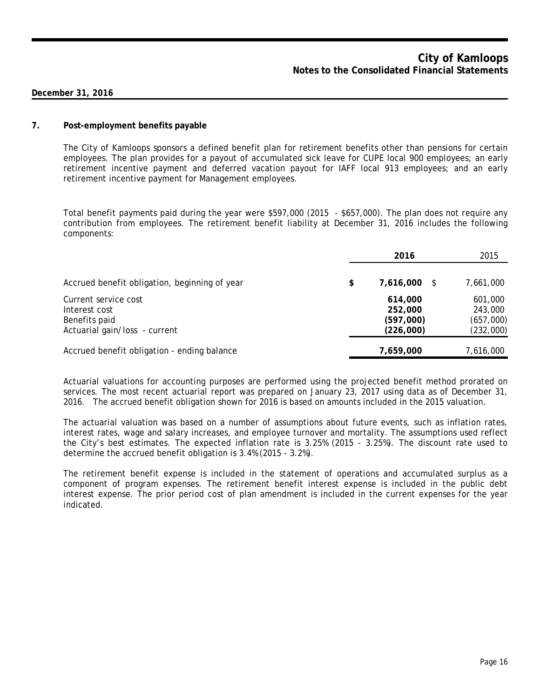# **7. Post-employment benefits payable**

The City of Kamloops sponsors a defined benefit plan for retirement benefits other than pensions for certain employees. The plan provides for a payout of accumulated sick leave for CUPE local 900 employees; an early retirement incentive payment and deferred vacation payout for IAFF local 913 employees; and an early retirement incentive payment for Management employees.

Total benefit payments paid during the year were \$597,000 (2015 - \$657,000). The plan does not require any contribution from employees. The retirement benefit liability at December 31, 2016 includes the following components:

|                                                                                         | 2016                                         | 2015                                         |
|-----------------------------------------------------------------------------------------|----------------------------------------------|----------------------------------------------|
| Accrued benefit obligation, beginning of year                                           | \$<br>7,616,000 \$                           | 7,661,000                                    |
| Current service cost<br>Interest cost<br>Benefits paid<br>Actuarial gain/loss - current | 614,000<br>252,000<br>(597,000)<br>(226,000) | 601,000<br>243,000<br>(657,000)<br>(232,000) |
| Accrued benefit obligation - ending balance                                             | 7,659,000                                    | 7,616,000                                    |

Actuarial valuations for accounting purposes are performed using the projected benefit method prorated on services. The most recent actuarial report was prepared on January 23, 2017 using data as of December 31, 2016. The accrued benefit obligation shown for 2016 is based on amounts included in the 2015 valuation.

The actuarial valuation was based on a number of assumptions about future events, such as inflation rates, interest rates, wage and salary increases, and employee turnover and mortality. The assumptions used reflect the City's best estimates. The expected inflation rate is 3.25% (2015 - 3.25%). The discount rate used to determine the accrued benefit obligation is 3.4% (2015 - 3.2%).

The retirement benefit expense is included in the statement of operations and accumulated surplus as a component of program expenses. The retirement benefit interest expense is included in the public debt interest expense. The prior period cost of plan amendment is included in the current expenses for the year indicated.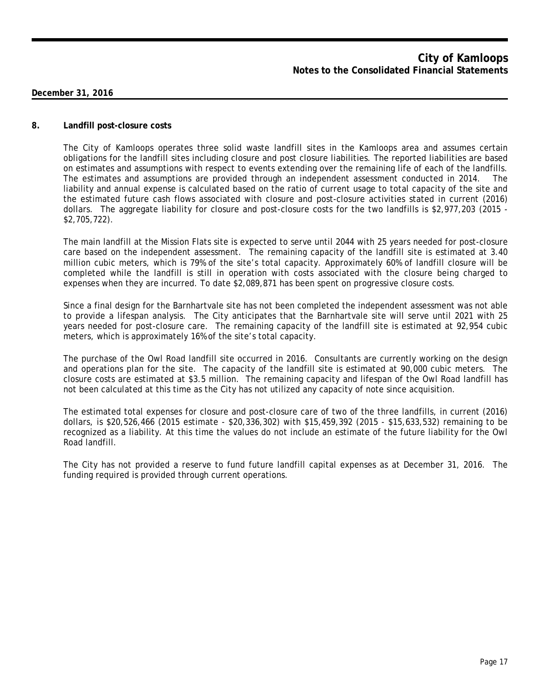# **8. Landfill post-closure costs**

The City of Kamloops operates three solid waste landfill sites in the Kamloops area and assumes certain obligations for the landfill sites including closure and post closure liabilities. The reported liabilities are based on estimates and assumptions with respect to events extending over the remaining life of each of the landfills. The estimates and assumptions are provided through an independent assessment conducted in 2014. The liability and annual expense is calculated based on the ratio of current usage to total capacity of the site and the estimated future cash flows associated with closure and post-closure activities stated in current (2016) dollars. The aggregate liability for closure and post-closure costs for the two landfills is \$2,977,203 (2015 - \$2,705,722).

The main landfill at the Mission Flats site is expected to serve until 2044 with 25 years needed for post-closure care based on the independent assessment. The remaining capacity of the landfill site is estimated at 3.40 million cubic meters, which is 79% of the site's total capacity. Approximately 60% of landfill closure will be completed while the landfill is still in operation with costs associated with the closure being charged to expenses when they are incurred. To date \$2,089,871 has been spent on progressive closure costs.

Since a final design for the Barnhartvale site has not been completed the independent assessment was not able to provide a lifespan analysis. The City anticipates that the Barnhartvale site will serve until 2021 with 25 years needed for post-closure care. The remaining capacity of the landfill site is estimated at 92,954 cubic meters, which is approximately 16% of the site's total capacity.

The purchase of the Owl Road landfill site occurred in 2016. Consultants are currently working on the design and operations plan for the site. The capacity of the landfill site is estimated at 90,000 cubic meters. The closure costs are estimated at \$3.5 million. The remaining capacity and lifespan of the Owl Road landfill has not been calculated at this time as the City has not utilized any capacity of note since acquisition.

The estimated total expenses for closure and post-closure care of two of the three landfills, in current (2016) dollars, is \$20,526,466 (2015 estimate - \$20,336,302) with \$15,459,392 (2015 - \$15,633,532) remaining to be recognized as a liability. At this time the values do not include an estimate of the future liability for the Owl Road landfill.

The City has not provided a reserve to fund future landfill capital expenses as at December 31, 2016. The funding required is provided through current operations.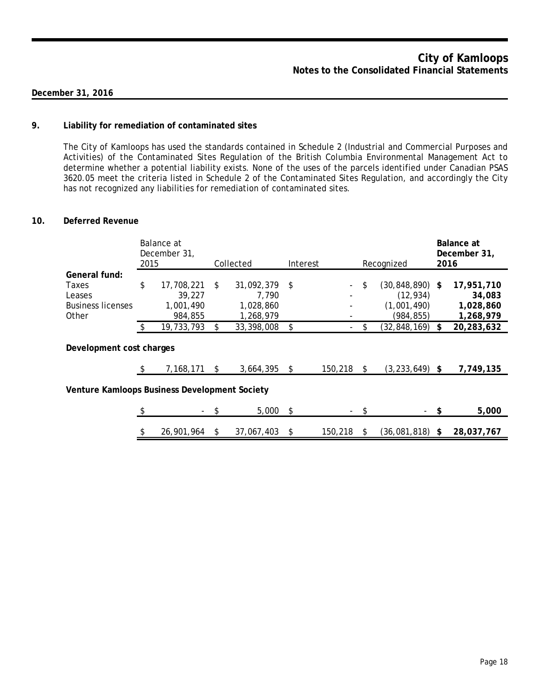# **9. Liability for remediation of contaminated sites**

The City of Kamloops has used the standards contained in Schedule 2 (Industrial and Commercial Purposes and Activities) of the Contaminated Sites Regulation of the British Columbia Environmental Management Act to determine whether a potential liability exists. None of the uses of the parcels identified under Canadian PSAS 3620.05 meet the criteria listed in Schedule 2 of the Contaminated Sites Regulation, and accordingly the City has not recognized any liabilities for remediation of contaminated sites.

# **10. Deferred Revenue**

|                                                                                                  |      | Balance at<br>December 31, |    |            |            |           |    |                     |      | Balance at<br>December 31, |
|--------------------------------------------------------------------------------------------------|------|----------------------------|----|------------|------------|-----------|----|---------------------|------|----------------------------|
|                                                                                                  | 2015 |                            |    | Collected  |            | Interest  |    | Recognized          | 2016 |                            |
| General fund:                                                                                    |      |                            |    |            |            |           |    |                     |      |                            |
| Taxes                                                                                            | \$   | 17,708,221                 | \$ | 31,092,379 | $\sqrt{5}$ |           | \$ | $(30, 848, 890)$ \$ |      | 17,951,710                 |
| Leases                                                                                           |      | 39.227                     |    | 7.790      |            |           |    | (12, 934)           |      | 34,083                     |
| <b>Business licenses</b>                                                                         |      | 1,001,490                  |    | 1,028,860  |            |           |    | (1,001,490)         |      | 1,028,860                  |
| Other                                                                                            |      | 984,855                    |    | 1,268,979  |            |           |    | (984, 855)          |      | 1,268,979                  |
|                                                                                                  |      | 19,733,793                 |    | 33,398,008 | \$         |           |    | (32, 848, 169)      | \$   | 20,283,632                 |
| Development cost charges<br>7,168,171<br>150,218<br>3,664,395<br>(3, 233, 649)<br>\$<br>\$<br>\$ |      |                            |    |            | \$         | 7,749,135 |    |                     |      |                            |
| Venture Kamloops Business Development Society                                                    |      |                            |    |            |            |           |    |                     |      |                            |
|                                                                                                  |      |                            | S  | 5,000      | \$         |           | S  |                     | \$   | 5,000                      |
|                                                                                                  | \$   | 26,901,964                 | S. | 37,067,403 | S.         | 150,218   | \$ | (36,081,818)        | - \$ | 28,037,767                 |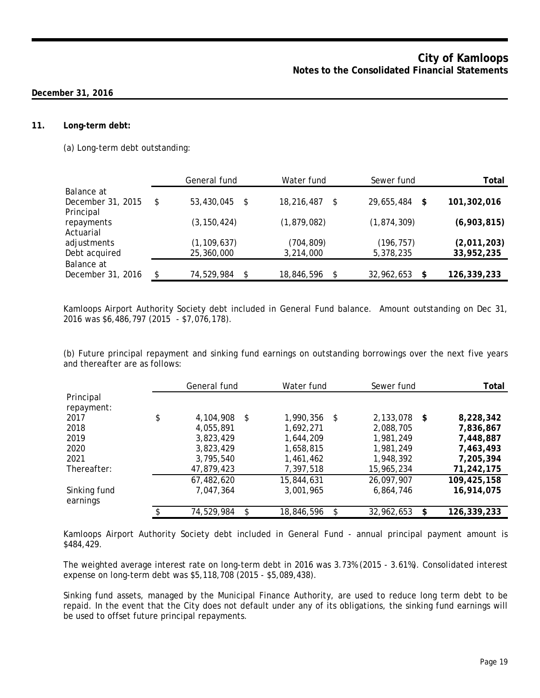# **11. Long-term debt:**

(a) Long-term debt outstanding:

|                                      |   | General fund     | Water fund       | Sewer fund       | Total       |
|--------------------------------------|---|------------------|------------------|------------------|-------------|
| Balance at<br>December 31, 2015      | S | 53,430,045<br>S  | 18,216,487<br>S  | 29,655,484<br>\$ | 101,302,016 |
| Principal<br>repayments<br>Actuarial |   | (3, 150, 424)    | (1, 879, 082)    | (1, 874, 309)    | (6,903,815) |
| adjustments                          |   | (1, 109, 637)    | (704, 809)       | (196, 757)       | (2,011,203) |
| Debt acquired                        |   | 25,360,000       | 3,214,000        | 5,378,235        | 33,952,235  |
| Balance at<br>December 31, 2016      |   | 74,529,984<br>\$ | 18,846,596<br>\$ | 32,962,653<br>\$ | 126,339,233 |

Kamloops Airport Authority Society debt included in General Fund balance. Amount outstanding on Dec 31, 2016 was \$6,486,797 (2015 - \$7,076,178).

(b) Future principal repayment and sinking fund earnings on outstanding borrowings over the next five years and thereafter are as follows:

|                          | General fund           | Water fund       | Sewer fund        | Total       |
|--------------------------|------------------------|------------------|-------------------|-------------|
| Principal<br>repayment:  |                        |                  |                   |             |
| 2017                     | \$<br>4,104,908<br>-\$ | 1,990,356<br>-\$ | 2.133.078<br>-\$  | 8,228,342   |
| 2018                     | 4,055,891              | 1,692,271        | 2,088,705         | 7,836,867   |
| 2019                     | 3.823.429              | 1.644.209        | 1.981.249         | 7,448,887   |
| 2020                     | 3.823.429              | 1,658,815        | 1,981,249         | 7,463,493   |
| 2021                     | 3,795,540              | 1,461,462        | 1,948,392         | 7,205,394   |
| Thereafter:              | 47,879,423             | 7,397,518        | 15,965,234        | 71,242,175  |
|                          | 67,482,620             | 15,844,631       | 26,097,907        | 109,425,158 |
| Sinking fund<br>earnings | 7,047,364              | 3,001,965        | 6,864,746         | 16,914,075  |
|                          | 74,529,984<br>\$.      | 18,846,596<br>\$ | 32,962,653<br>-\$ | 126,339,233 |

Kamloops Airport Authority Society debt included in General Fund - annual principal payment amount is \$484,429.

The weighted average interest rate on long-term debt in 2016 was 3.73% (2015 - 3.61%). Consolidated interest expense on long-term debt was \$5,118,708 (2015 - \$5,089,438).

Sinking fund assets, managed by the Municipal Finance Authority, are used to reduce long term debt to be repaid. In the event that the City does not default under any of its obligations, the sinking fund earnings will be used to offset future principal repayments.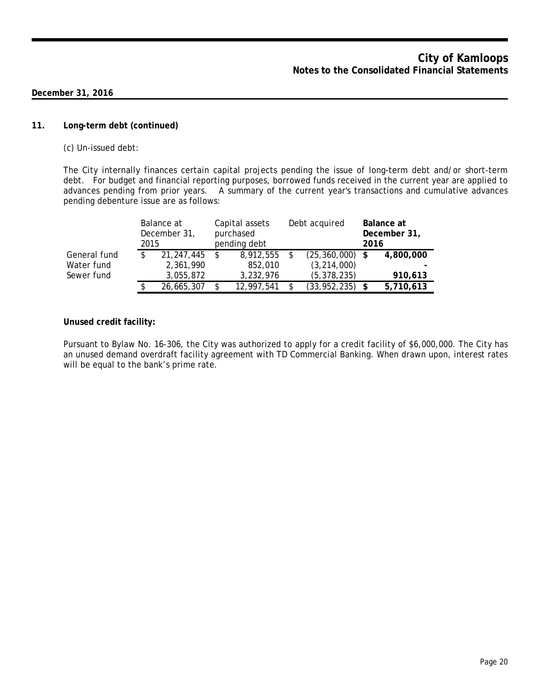# **11. Long-term debt (continued)**

(c) Un-issued debt:

The City internally finances certain capital projects pending the issue of long-term debt and/or short-term debt. For budget and financial reporting purposes, borrowed funds received in the current year are applied to advances pending from prior years. A summary of the current year's transactions and cumulative advances pending debenture issue are as follows:

|              | Balance at<br>December 31,<br>2015 |              |     | Capital assets<br>purchased<br>pending debt | Debt acquired       | Balance at<br>December 31,<br>2016 |           |  |
|--------------|------------------------------------|--------------|-----|---------------------------------------------|---------------------|------------------------------------|-----------|--|
| General fund |                                    | 21, 247, 445 | -\$ | 8,912,555                                   | $(25, 360, 000)$ \$ |                                    | 4,800,000 |  |
| Water fund   |                                    | 2,361,990    |     | 852,010                                     | (3, 214, 000)       |                                    |           |  |
| Sewer fund   |                                    | 3,055,872    |     | 3,232,976                                   | (5, 378, 235)       |                                    | 910.613   |  |
|              |                                    | 26,665,307   |     | 12,997,541                                  | $(33,952,235)$ \$   |                                    | 5,710,613 |  |

# **Unused credit facility:**

Pursuant to Bylaw No. 16-306, the City was authorized to apply for a credit facility of \$6,000,000. The City has an unused demand overdraft facility agreement with TD Commercial Banking. When drawn upon, interest rates will be equal to the bank's prime rate.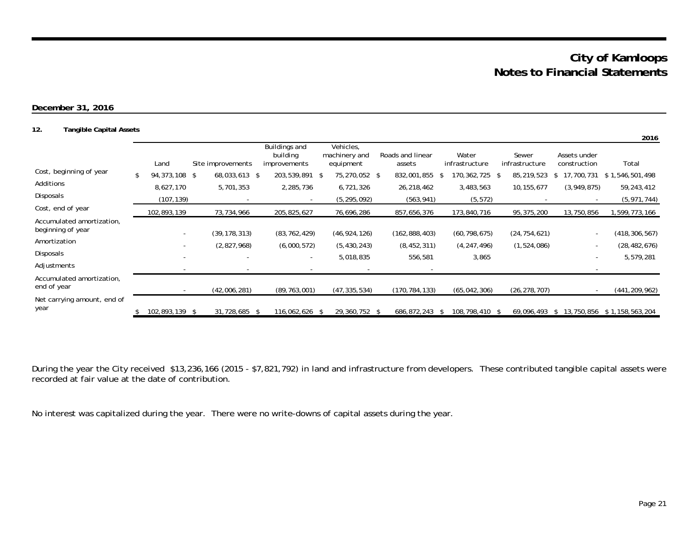# **December 31, 2016**

#### **12. Tangible Capital Assets**

|                                                |                          |                   |                                                  |          |                                         |                            |      |                         |                         |    |                                |     | 2016            |
|------------------------------------------------|--------------------------|-------------------|--------------------------------------------------|----------|-----------------------------------------|----------------------------|------|-------------------------|-------------------------|----|--------------------------------|-----|-----------------|
|                                                | Land                     | Site improvements | Buildings and<br>building<br><i>improvements</i> |          | Vehicles,<br>machinery and<br>equipment | Roads and linear<br>assets |      | Water<br>infrastructure | Sewer<br>infrastructure |    | Assets under<br>construction   |     | Total           |
| Cost, beginning of year                        | \$<br>94,373,108 \$      | 68,033,613 \$     | 203,539,891                                      | <b>S</b> | 75,270,052 \$                           | 832,001,855                | - \$ | 170,362,725 \$          | 85,219,523              | S. | 17,700,731                     | \$1 | ,546,501,498    |
| Additions                                      | 8,627,170                | 5,701,353         | 2,285,736                                        |          | 6,721,326                               | 26,218,462                 |      | 3,483,563               | 10,155,677              |    | (3,949,875)                    |     | 59,243,412      |
| Disposals                                      | (107, 139)               |                   |                                                  |          | (5, 295, 092)                           | (563, 941)                 |      | (5, 572)                |                         |    |                                |     | (5, 971, 744)   |
| Cost, end of year                              | 102,893,139              | 73,734,966        | 205,825,627                                      |          | 76,696,286                              | 857,656,376                |      | 173,840,716             | 95,375,200              |    | 13,750,856                     |     | 599,773,166     |
| Accumulated amortization,<br>beginning of year | $\overline{\phantom{a}}$ | (39, 178, 313)    | (83, 762, 429)                                   |          | (46, 924, 126)                          | (162, 888, 403)            |      | (60, 798, 675)          | (24, 754, 621)          |    | $\overline{\phantom{a}}$       |     | (418, 306, 567) |
| Amortization                                   |                          | (2,827,968)       | (6,000,572)                                      |          | (5, 430, 243)                           | (8, 452, 311)              |      | (4, 247, 496)           | (1,524,086)             |    | $\overline{\phantom{a}}$       |     | (28, 482, 676)  |
| Disposals                                      |                          |                   | $\overline{\phantom{a}}$                         |          | 5,018,835                               | 556,581                    |      | 3,865                   |                         |    | $\overline{\phantom{a}}$       |     | 5,579,281       |
| Adjustments                                    |                          |                   |                                                  |          |                                         |                            |      |                         |                         |    |                                |     |                 |
| Accumulated amortization.<br>end of year       |                          | (42,006,281)      | (89, 763, 001)                                   |          | (47, 335, 534)                          | (170, 784, 133)            |      | (65, 042, 306)          | (26, 278, 707)          |    |                                |     | (441, 209, 962) |
| Net carrying amount, end of<br>year            | 102,893,139 \$           | 31,728,685 \$     | 116,062,626 \$                                   |          | 29,360,752 \$                           | 686,872,243                | -S   | 108,798,410 \$          | 69,096,493              |    | $$13,750,856$ $$1,158,563,204$ |     |                 |

During the year the City received \$13,236,166 (2015 - \$7,821,792) in land and infrastructure from developers. These contributed tangible capital assets were recorded at fair value at the date of contribution.

No interest was capitalized during the year. There were no write-downs of capital assets during the year.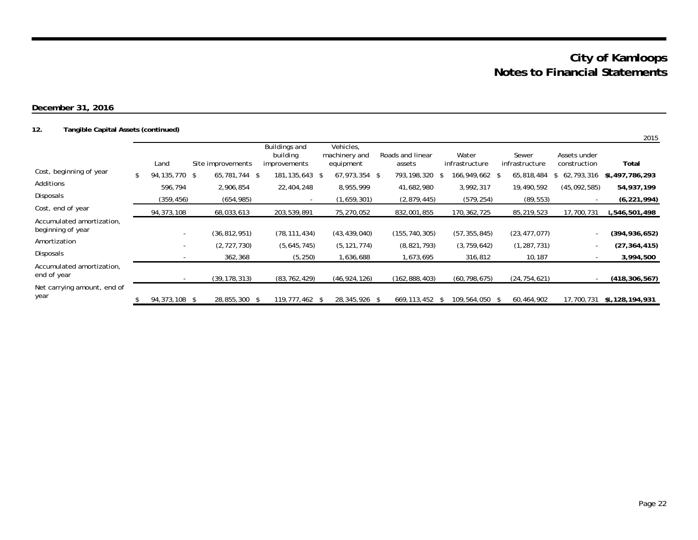# **December 31, 2016**

# **12. Tangible Capital Assets (continued)**

|                                                |                     |                   |            |                                           |                                         |                            |     |                         |      |                         |                              |     | 2015            |
|------------------------------------------------|---------------------|-------------------|------------|-------------------------------------------|-----------------------------------------|----------------------------|-----|-------------------------|------|-------------------------|------------------------------|-----|-----------------|
|                                                | Land                | Site improvements |            | Buildings and<br>building<br>improvements | Vehicles,<br>machinery and<br>equipment | Roads and linear<br>assets |     | Water<br>infrastructure |      | Sewer<br>infrastructure | Assets under<br>construction |     | Total           |
| Cost, beginning of year                        | \$<br>94,135,770 \$ | 65,781,744 \$     |            | 181,135,643 \$                            | 67,973,354 \$                           | 793,198,320 \$             |     | 166,949,662 \$          |      | 65,818,484              | 62,793,316<br>S.             | SI. | ,497,786,293    |
| Additions                                      | 596,794             | 2,906,854         |            | 22,404,248                                | 8,955,999                               | 41,682,980                 |     | 3,992,317               |      | 19,490,592              | (45,092,585)                 |     | 54,937,199      |
| <b>Disposals</b>                               | (359, 456)          |                   | (654, 985) |                                           | (1,659,301)                             | (2,879,445)                |     | (579, 254)              |      | (89, 553)               |                              |     | (6, 221, 994)   |
| Cost, end of year                              | 94,373,108          | 68,033,613        |            | 203,539,891                               | 75,270,052                              | 832,001,855                |     | 170,362,725             |      | 85,219,523              | 17,700,731                   |     | ,546,501,498    |
| Accumulated amortization.<br>beginning of year |                     | (36, 812, 951)    |            | (78, 111, 434)                            | (43, 439, 040)                          | (155, 740, 305)            |     | (57, 355, 845)          |      | (23, 477, 077)          |                              |     | (394, 936, 652) |
| Amortization                                   |                     | (2,727,730)       |            | (5,645,745)                               | (5, 121, 774)                           | (8,821,793)                |     | (3, 759, 642)           |      | (1, 287, 731)           | $\overline{\phantom{a}}$     |     | (27, 364, 415)  |
| Disposals                                      |                     |                   | 362,368    | (5, 250)                                  | 1,636,688                               | 1,673,695                  |     | 316,812                 |      | 10,187                  |                              |     | 3,994,500       |
| Accumulated amortization.<br>end of year       |                     | (39, 178, 313)    |            | (83, 762, 429)                            | (46, 924, 126)                          | (162, 888, 403)            |     | (60, 798, 675)          |      | (24, 754, 621)          |                              |     | (418, 306, 567) |
| Net carrying amount, end of<br>year            | 94,373,108 \$       | 28,855,300 \$     |            | 119,777,462 \$                            | 28,345,926 \$                           | 669,113,452                | - S | 109,564,050             | - \$ | 60,464,902              | 17,700,731                   |     | \$1,128,194,931 |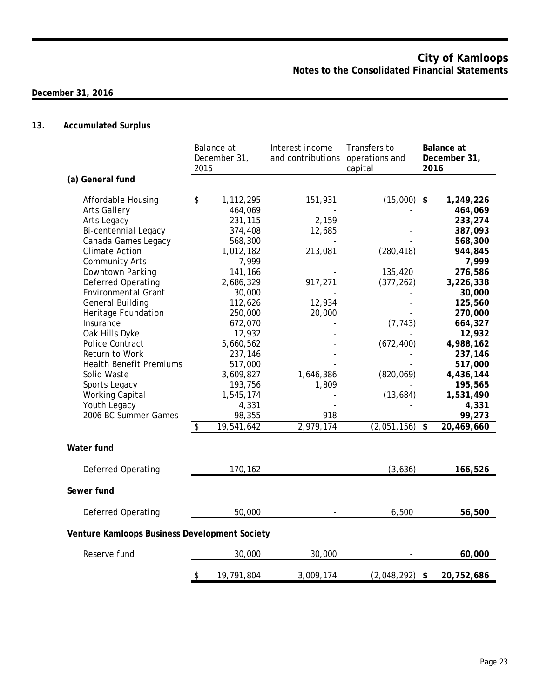# **13. Accumulated Surplus**

|                                               | 2015 | Balance at<br>December 31, | Interest income<br>and contributions operations and | Transfers to<br>capital | 2016 | <b>Balance</b> at<br>December 31, |
|-----------------------------------------------|------|----------------------------|-----------------------------------------------------|-------------------------|------|-----------------------------------|
| (a) General fund                              |      |                            |                                                     |                         |      |                                   |
| Affordable Housing<br><b>Arts Gallery</b>     | \$   | 1,112,295<br>464,069       | 151,931                                             | $(15,000)$ \$           |      | 1,249,226<br>464,069              |
| Arts Legacy                                   |      | 231,115                    | 2,159                                               |                         |      | 233,274                           |
| <b>Bi-centennial Legacy</b>                   |      | 374,408                    | 12,685                                              |                         |      | 387,093                           |
| Canada Games Legacy                           |      | 568,300                    |                                                     |                         |      | 568,300                           |
| <b>Climate Action</b>                         |      | 1,012,182                  | 213,081                                             | (280, 418)              |      | 944,845                           |
| <b>Community Arts</b>                         |      | 7,999                      |                                                     |                         |      | 7,999                             |
| Downtown Parking                              |      | 141,166                    |                                                     | 135,420                 |      | 276,586                           |
| Deferred Operating                            |      | 2,686,329                  | 917,271                                             | (377, 262)              |      | 3,226,338                         |
| <b>Environmental Grant</b>                    |      | 30,000                     |                                                     |                         |      | 30,000                            |
| <b>General Building</b>                       |      | 112,626                    | 12,934                                              |                         |      | 125,560                           |
| Heritage Foundation                           |      | 250,000                    | 20,000                                              |                         |      | 270,000                           |
| Insurance                                     |      | 672,070                    |                                                     | (7, 743)                |      | 664,327                           |
| Oak Hills Dyke                                |      | 12,932                     |                                                     |                         |      | 12,932                            |
| Police Contract                               |      | 5,660,562                  |                                                     | (672, 400)              |      | 4,988,162                         |
| Return to Work                                |      | 237,146                    |                                                     |                         |      | 237,146                           |
| <b>Health Benefit Premiums</b>                |      | 517,000                    |                                                     |                         |      | 517,000                           |
| Solid Waste                                   |      | 3,609,827                  | 1,646,386                                           | (820, 069)              |      | 4,436,144                         |
| Sports Legacy                                 |      | 193,756                    | 1,809                                               |                         |      | 195,565                           |
| <b>Working Capital</b>                        |      | 1,545,174                  |                                                     | (13, 684)               |      | 1,531,490                         |
| Youth Legacy                                  |      | 4,331                      |                                                     |                         |      | 4,331                             |
| 2006 BC Summer Games                          |      | 98,355                     | 918                                                 |                         |      | 99,273                            |
|                                               | \$   | 19,541,642                 | 2,979,174                                           | (2,051,156)             | \$   | 20,469,660                        |
| Water fund                                    |      |                            |                                                     |                         |      |                                   |
| Deferred Operating                            |      | 170,162                    |                                                     | (3,636)                 |      | 166,526                           |
| Sewer fund                                    |      |                            |                                                     |                         |      |                                   |
| Deferred Operating                            |      | 50,000                     |                                                     | 6,500                   |      | 56,500                            |
| Venture Kamloops Business Development Society |      |                            |                                                     |                         |      |                                   |
| Reserve fund                                  |      | 30,000                     | 30,000                                              |                         |      | 60,000                            |
|                                               | \$   | 19,791,804                 | 3,009,174                                           | $(2,048,292)$ \$        |      | 20,752,686                        |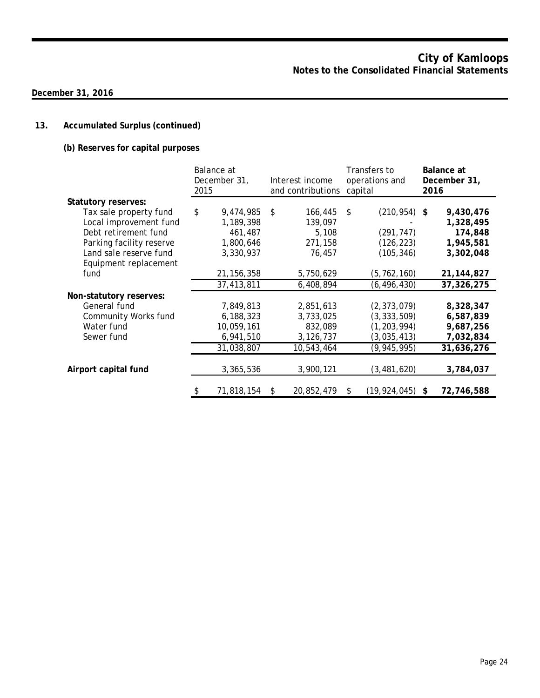# **13. Accumulated Surplus (continued)**

**(b) Reserves for capital purposes**

|                            | Balance at<br>2015 | December 31, | Interest income<br>and contributions | capital | Transfers to<br>operations and | Balance at<br>December 31,<br>2016 |              |
|----------------------------|--------------------|--------------|--------------------------------------|---------|--------------------------------|------------------------------------|--------------|
| <b>Statutory reserves:</b> |                    |              |                                      |         |                                |                                    |              |
| Tax sale property fund     | \$                 | 9,474,985    | \$<br>166,445                        | \$      | $(210, 954)$ \$                |                                    | 9,430,476    |
| Local improvement fund     |                    | 1,189,398    | 139,097                              |         |                                |                                    | 1,328,495    |
| Debt retirement fund       |                    | 461,487      | 5,108                                |         | (291, 747)                     |                                    | 174,848      |
| Parking facility reserve   |                    | 1,800,646    | 271,158                              |         | (126, 223)                     |                                    | 1,945,581    |
| Land sale reserve fund     |                    | 3,330,937    | 76,457                               |         | (105, 346)                     |                                    | 3,302,048    |
| Equipment replacement      |                    |              |                                      |         |                                |                                    |              |
| fund                       |                    | 21, 156, 358 | 5,750,629                            |         | (5, 762, 160)                  |                                    | 21, 144, 827 |
|                            |                    | 37,413,811   | 6,408,894                            |         | (6, 496, 430)                  |                                    | 37,326,275   |
| Non-statutory reserves:    |                    |              |                                      |         |                                |                                    |              |
| General fund               |                    | 7,849,813    | 2,851,613                            |         | (2, 373, 079)                  |                                    | 8,328,347    |
| Community Works fund       |                    | 6,188,323    | 3,733,025                            |         | (3, 333, 509)                  |                                    | 6,587,839    |
| Water fund                 |                    | 10,059,161   | 832,089                              |         | (1, 203, 994)                  |                                    | 9,687,256    |
| Sewer fund                 |                    | 6,941,510    | 3,126,737                            |         | (3,035,413)                    |                                    | 7,032,834    |
|                            |                    | 31,038,807   | 10,543,464                           |         | (9, 945, 995)                  |                                    | 31,636,276   |
|                            |                    |              |                                      |         |                                |                                    |              |
| Airport capital fund       |                    | 3,365,536    | 3,900,121                            |         | (3, 481, 620)                  |                                    | 3,784,037    |
|                            | \$                 | 71,818,154   | \$<br>20,852,479                     | \$      | (19, 924, 045)                 | \$                                 | 72,746,588   |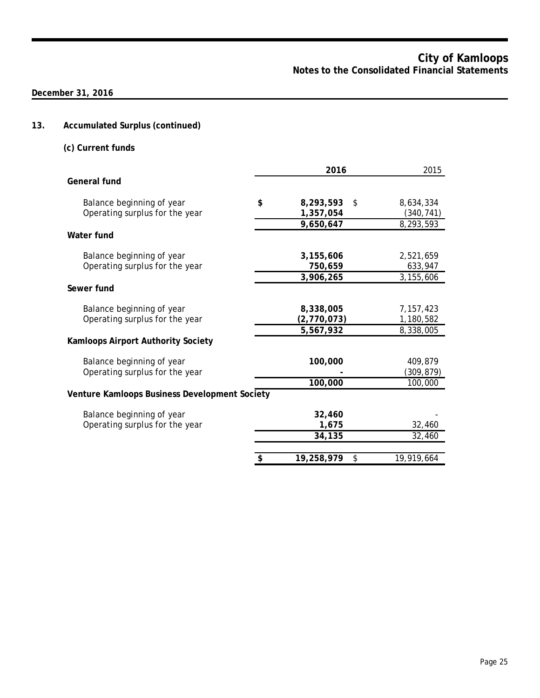# **13. Accumulated Surplus (continued)**

# **(c) Current funds**

|                                                             |                              | 2016   | 2015                    |
|-------------------------------------------------------------|------------------------------|--------|-------------------------|
| <b>General fund</b>                                         |                              |        |                         |
| Balance beginning of year<br>Operating surplus for the year | \$<br>8,293,593<br>1,357,054 | \$     | 8,634,334<br>(340, 741) |
|                                                             | 9,650,647                    |        | 8,293,593               |
| Water fund                                                  |                              |        |                         |
| Balance beginning of year<br>Operating surplus for the year | 3,155,606<br>750,659         |        | 2,521,659<br>633,947    |
| Sewer fund                                                  | 3,906,265                    |        | 3,155,606               |
|                                                             |                              |        |                         |
| Balance beginning of year                                   | 8,338,005                    |        | 7, 157, 423             |
| Operating surplus for the year                              | (2,770,073)                  |        | 1,180,582               |
|                                                             | 5,567,932                    |        | 8,338,005               |
| <b>Kamloops Airport Authority Society</b>                   |                              |        |                         |
| Balance beginning of year                                   | 100,000                      |        | 409,879                 |
| Operating surplus for the year                              |                              |        | (309,879)               |
|                                                             | 100,000                      |        | 100,000                 |
| Venture Kamloops Business Development Society               |                              |        |                         |
| Balance beginning of year                                   |                              | 32,460 |                         |
| Operating surplus for the year                              |                              | 1,675  | 32,460                  |
|                                                             |                              | 34,135 | 32,460                  |
|                                                             | 19,258,979<br>\$             | \$     | 19,919,664              |
|                                                             |                              |        |                         |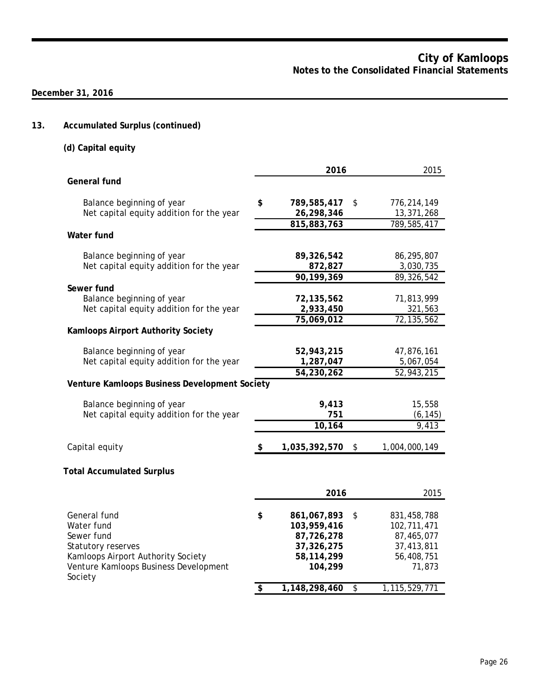# **13. Accumulated Surplus (continued)**

# **(d) Capital equity**

|                                                                       | 2016                    | 2015                  |
|-----------------------------------------------------------------------|-------------------------|-----------------------|
| General fund                                                          |                         |                       |
| Balance beginning of year                                             | \$<br>789,585,417       | \$<br>776,214,149     |
| Net capital equity addition for the year                              | 26,298,346              | 13,371,268            |
| Water fund                                                            | 815,883,763             | 789,585,417           |
|                                                                       |                         |                       |
| Balance beginning of year                                             | 89,326,542              | 86,295,807            |
| Net capital equity addition for the year                              | 872,827                 | 3,030,735             |
|                                                                       | 90,199,369              | 89,326,542            |
| Sewer fund                                                            |                         |                       |
| Balance beginning of year<br>Net capital equity addition for the year | 72,135,562              | 71,813,999            |
|                                                                       | 2,933,450<br>75,069,012 | 321,563<br>72,135,562 |
| Kamloops Airport Authority Society                                    |                         |                       |
|                                                                       |                         |                       |
| Balance beginning of year                                             | 52,943,215              | 47,876,161            |
| Net capital equity addition for the year                              | 1,287,047               | 5,067,054             |
|                                                                       | 54,230,262              | 52,943,215            |
| Venture Kamloops Business Development Society                         |                         |                       |
| Balance beginning of year                                             | 9,413                   | 15,558                |
| Net capital equity addition for the year                              | 751                     | (6, 145)              |
|                                                                       | 10,164                  | 9,413                 |
| Capital equity                                                        | \$<br>1,035,392,570     | \$<br>1,004,000,149   |
| <b>Total Accumulated Surplus</b>                                      |                         |                       |
|                                                                       | 2016                    | 2015                  |
|                                                                       |                         |                       |
| General fund                                                          | \$<br>861,067,893       | \$<br>831,458,788     |
| Water fund                                                            | 103,959,416             | 102,711,471           |
| Sewer fund                                                            | 87,726,278              | 87,465,077            |
| Statutory reserves                                                    | 37,326,275              | 37,413,811            |
| Kamloops Airport Authority Society                                    | 58,114,299              | 56,408,751            |
| Venture Kamloops Business Development<br>Society                      | 104,299                 | 71,873                |
|                                                                       | \$<br>1,148,298,460     | \$<br>1,115,529,771   |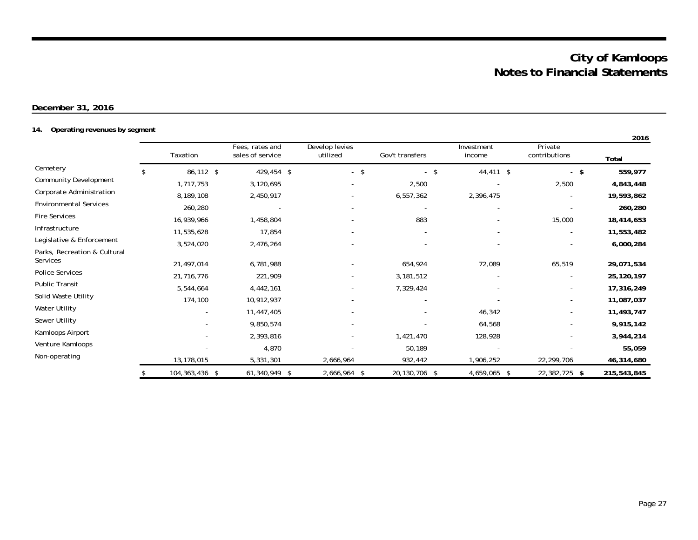# **December 31, 2016**

## **14. Operating revenues by segment**

| operating revenues by segment |                 |                                     |                            |                 |                          |                          | 2016        |
|-------------------------------|-----------------|-------------------------------------|----------------------------|-----------------|--------------------------|--------------------------|-------------|
|                               | Taxation        | Fees, rates and<br>sales of service | Develop levies<br>utilized | Gov't transfers | Investment<br>income     | Private<br>contributions |             |
| Cemetery                      |                 |                                     |                            |                 |                          |                          | Total       |
|                               | \$<br>86,112 \$ | 429,454 \$                          | $-$ \$                     | \$<br>$\sim$    | 44,411 \$                | $-$ \$                   | 559,977     |
| Community Development         | 1,717,753       | 3,120,695                           |                            | 2,500           |                          | 2,500                    | 4,843,448   |
| Corporate Administration      | 8,189,108       | 2,450,917                           |                            | 6,557,362       | 2,396,475                |                          | 19,593,862  |
| <b>Environmental Services</b> | 260,280         |                                     | $\blacksquare$             |                 | $\blacksquare$           |                          | 260,280     |
| <b>Fire Services</b>          | 16,939,966      | 1,458,804                           | $\overline{\phantom{a}}$   | 883             | $\overline{\phantom{a}}$ | 15,000                   | 18,414,653  |
| Infrastructure                | 11,535,628      | 17,854                              | $\overline{\phantom{a}}$   |                 | $\overline{\phantom{a}}$ |                          | 11,553,482  |
| Legislative & Enforcement     | 3,524,020       |                                     |                            |                 |                          |                          |             |
| Parks, Recreation & Cultural  |                 | 2,476,264                           |                            |                 |                          |                          | 6,000,284   |
| Services                      | 21,497,014      | 6,781,988                           |                            | 654,924         | 72,089                   | 65,519                   | 29,071,534  |
| Police Services               | 21,716,776      | 221,909                             |                            | 3, 181, 512     | $\overline{\phantom{a}}$ |                          | 25,120,197  |
| Public Transit                | 5,544,664       | 4,442,161                           |                            | 7,329,424       |                          |                          | 17,316,249  |
| Solid Waste Utility           | 174,100         | 10,912,937                          |                            |                 |                          |                          | 11,087,037  |
| Water Utility                 |                 | 11,447,405                          |                            |                 | 46,342                   |                          | 11,493,747  |
| Sewer Utility                 |                 | 9,850,574                           |                            |                 | 64,568                   |                          | 9,915,142   |
| Kamloops Airport              |                 | 2,393,816                           |                            | 1,421,470       | 128,928                  |                          | 3,944,214   |
| Venture Kamloops              |                 |                                     |                            |                 |                          |                          |             |
| Non-operating                 |                 | 4,870                               |                            | 50,189          | $\overline{\phantom{a}}$ |                          | 55,059      |
|                               | 13,178,015      | 5,331,301                           | 2,666,964                  | 932,442         | 1,906,252                | 22, 299, 706             | 46,314,680  |
|                               | 104,363,436 \$  | 61,340,949 \$                       | 2,666,964 \$               | 20,130,706 \$   | 4,659,065 \$             | 22,382,725 \$            | 215,543,845 |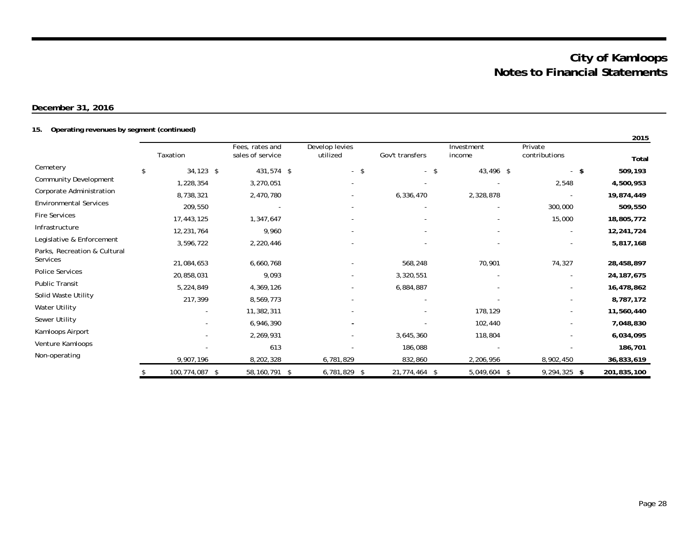# **December 31, 2016**

|                               |    | Taxation       | Fees, rates and<br>sales of service | Develop levies<br>utilized | Gov't transfers | Investment<br>income     | Private<br>contributions | Total        |
|-------------------------------|----|----------------|-------------------------------------|----------------------------|-----------------|--------------------------|--------------------------|--------------|
| Cemetery                      | \$ | $34,123$ \$    | 431,574 \$                          | $-$ \$                     | $-5$            | 43,496 \$                | $-$ \$                   | 509,193      |
| <b>Community Development</b>  |    | 1,228,354      | 3,270,051                           |                            |                 |                          | 2,548                    | 4,500,953    |
| Corporate Administration      |    | 8,738,321      | 2,470,780                           |                            | 6,336,470       | 2,328,878                |                          | 19,874,449   |
| <b>Environmental Services</b> |    | 209,550        |                                     | $\overline{\phantom{a}}$   |                 | $\overline{\phantom{a}}$ | 300,000                  | 509,550      |
| <b>Fire Services</b>          |    | 17,443,125     | 1,347,647                           |                            |                 |                          | 15,000                   | 18,805,772   |
| Infrastructure                |    | 12,231,764     | 9,960                               |                            |                 |                          |                          | 12,241,724   |
| Legislative & Enforcement     |    | 3,596,722      | 2,220,446                           |                            |                 |                          |                          | 5,817,168    |
| Parks, Recreation & Cultural  |    |                |                                     |                            |                 |                          |                          |              |
| Services                      |    | 21,084,653     | 6,660,768                           |                            | 568,248         | 70,901                   | 74,327                   | 28,458,897   |
| <b>Police Services</b>        |    | 20,858,031     | 9,093                               |                            | 3,320,551       |                          | $\blacksquare$           | 24, 187, 675 |
| <b>Public Transit</b>         |    | 5,224,849      | 4,369,126                           |                            | 6,884,887       |                          |                          | 16,478,862   |
| Solid Waste Utility           |    | 217,399        | 8,569,773                           |                            |                 |                          |                          | 8,787,172    |
| <b>Water Utility</b>          |    |                | 11,382,311                          |                            |                 | 178,129                  | ۰                        | 11,560,440   |
| Sewer Utility                 |    |                | 6,946,390                           |                            |                 | 102,440                  |                          | 7,048,830    |
| Kamloops Airport              |    |                | 2,269,931                           |                            | 3,645,360       | 118,804                  |                          | 6,034,095    |
| Venture Kamloops              |    |                | 613                                 |                            | 186,088         |                          |                          | 186,701      |
| Non-operating                 |    | 9,907,196      | 8,202,328                           | 6,781,829                  | 832,860         | 2,206,956                | 8,902,450                | 36,833,619   |
|                               | S  | 100,774,087 \$ | 58,160,791 \$                       | $6,781,829$ \$             | 21,774,464 \$   | 5,049,604 \$             | 9,294,325 \$             | 201,835,100  |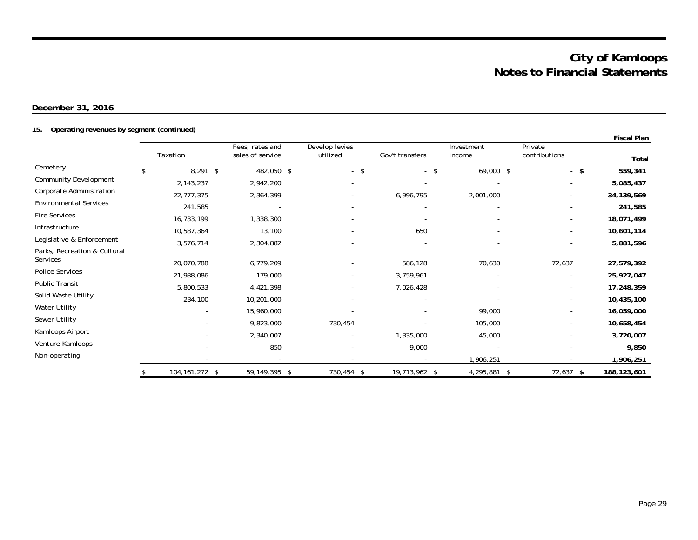# **December 31, 2016**

|                               | Taxation         | Fees, rates and<br>sales of service | Develop levies<br>utilized | Gov't transfers | Investment<br>income     | Private<br>contributions | Total        |
|-------------------------------|------------------|-------------------------------------|----------------------------|-----------------|--------------------------|--------------------------|--------------|
| Cemetery                      | \$<br>$8,291$ \$ | 482,050 \$                          | $-$ \$                     | $\sim$          | \$<br>69,000 \$          | $-$ \$                   | 559,341      |
| <b>Community Development</b>  | 2, 143, 237      | 2,942,200                           |                            |                 |                          |                          | 5,085,437    |
| Corporate Administration      | 22,777,375       | 2,364,399                           |                            | 6,996,795       | 2,001,000                |                          | 34, 139, 569 |
| <b>Environmental Services</b> | 241,585          |                                     |                            |                 |                          |                          | 241,585      |
| <b>Fire Services</b>          | 16,733,199       | 1,338,300                           |                            |                 |                          |                          | 18,071,499   |
| Infrastructure                | 10,587,364       | 13,100                              |                            | 650             |                          |                          | 10,601,114   |
| Legislative & Enforcement     | 3,576,714        | 2,304,882                           |                            |                 |                          |                          | 5,881,596    |
| Parks, Recreation & Cultural  |                  |                                     |                            |                 |                          |                          |              |
| Services                      | 20,070,788       | 6,779,209                           |                            | 586,128         | 70,630                   | 72,637                   | 27,579,392   |
| <b>Police Services</b>        | 21,988,086       | 179,000                             |                            | 3,759,961       | $\overline{\phantom{a}}$ |                          | 25,927,047   |
| Public Transit                | 5,800,533        | 4,421,398                           |                            | 7,026,428       |                          |                          | 17,248,359   |
| Solid Waste Utility           | 234,100          | 10,201,000                          |                            |                 |                          |                          | 10,435,100   |
| Water Utility                 |                  | 15,960,000                          |                            |                 | 99,000                   |                          | 16,059,000   |
| Sewer Utility                 |                  | 9,823,000                           | 730,454                    |                 | 105,000                  |                          | 10,658,454   |
| Kamloops Airport              |                  | 2,340,007                           |                            | 1,335,000       | 45,000                   |                          | 3,720,007    |
| Venture Kamloops              |                  | 850                                 |                            | 9,000           | $\overline{\phantom{a}}$ |                          | 9,850        |
| Non-operating                 |                  |                                     |                            |                 | 1,906,251                |                          | 1,906,251    |
|                               | 104, 161, 272 \$ | 59,149,395 \$                       | 730,454 \$                 | 19,713,962 \$   | 4,295,881 \$             | 72,637 \$                | 188,123,601  |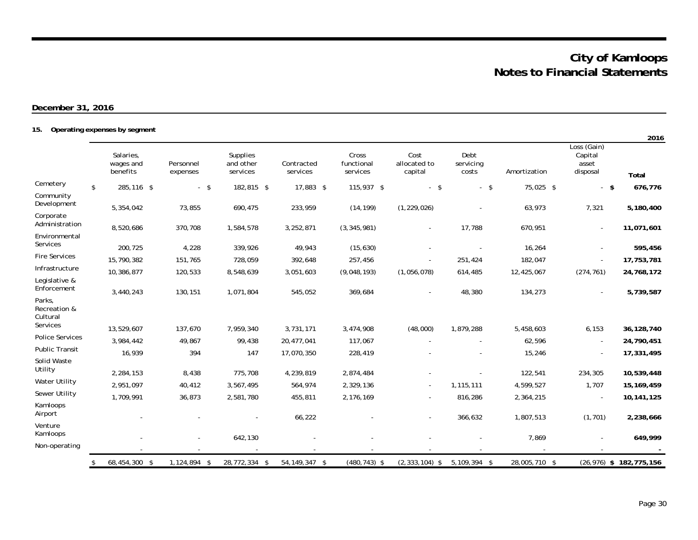# **December 31, 2016**

## **15. Operating expenses by segment**

|                                                |                    |                                    |                       |                                   |                        |                                 |                                 |                            |                       |                                             | 2016                      |
|------------------------------------------------|--------------------|------------------------------------|-----------------------|-----------------------------------|------------------------|---------------------------------|---------------------------------|----------------------------|-----------------------|---------------------------------------------|---------------------------|
|                                                |                    | Salaries,<br>wages and<br>benefits | Personnel<br>expenses | Supplies<br>and other<br>services | Contracted<br>services | Cross<br>functional<br>services | Cost<br>allocated to<br>capital | Debt<br>servicing<br>costs | Amortization          | Loss (Gain)<br>Capital<br>asset<br>disposal | Total                     |
| Cemetery                                       | $\mathbf{\hat{z}}$ | 285,116 \$                         | $-$ \$                | 182,815 \$                        | 17,883 \$              | 115,937 \$                      | $-$ \$                          | $-$ \$                     | 75,025 \$             | - \$                                        | 676,776                   |
| Community<br>Development                       |                    | 5,354,042                          | 73,855                | 690,475                           | 233,959                | (14, 199)                       | (1, 229, 026)                   |                            | 63,973                | 7,321                                       | 5,180,400                 |
| Corporate<br>Administration                    |                    | 8,520,686                          | 370.708               | 1,584,578                         | 3,252,871              | (3,345,981)                     |                                 | 17.788                     | 670,951               | $\blacksquare$                              | 11,071,601                |
| Environmental<br>Services                      |                    | 200,725                            | 4,228                 | 339,926                           | 49,943                 | (15, 630)                       |                                 |                            | 16,264                | $\blacksquare$                              | 595,456                   |
| <b>Fire Services</b>                           |                    | 15,790,382                         | 151,765               | 728,059                           | 392,648                | 257,456                         |                                 | 251,424                    | 182,047               | $\blacksquare$                              | 17,753,781                |
| Infrastructure                                 |                    | 10,386,877                         |                       |                                   |                        |                                 |                                 | 614,485                    |                       |                                             |                           |
| Legislative &<br>Enforcement                   |                    | 3,440,243                          | 120,533<br>130,151    | 8,548,639<br>1,071,804            | 3,051,603<br>545,052   | (9,048,193)<br>369,684          | (1,056,078)                     | 48,380                     | 12,425,067<br>134,273 | (274, 761)                                  | 24,768,172<br>5,739,587   |
| Parks.<br>Recreation &<br>Cultural<br>Services |                    |                                    |                       |                                   |                        |                                 |                                 |                            |                       |                                             |                           |
| <b>Police Services</b>                         |                    | 13,529,607                         | 137,670               | 7,959,340                         | 3,731,171              | 3,474,908                       | (48,000)                        | 1,879,288                  | 5,458,603             | 6,153                                       | 36,128,740                |
| Public Transit                                 |                    | 3,984,442                          | 49,867                | 99,438                            | 20,477,041             | 117,067                         |                                 |                            | 62,596                | $\blacksquare$                              | 24,790,451                |
| Solid Waste                                    |                    | 16,939                             | 394                   | 147                               | 17,070,350             | 228,419                         |                                 |                            | 15,246                | $\blacksquare$                              | 17,331,495                |
| Utility                                        |                    | 2,284,153                          | 8,438                 | 775,708                           | 4,239,819              | 2,874,484                       |                                 |                            | 122,541               | 234,305                                     | 10,539,448                |
| <b>Water Utility</b>                           |                    | 2,951,097                          | 40,412                | 3,567,495                         | 564,974                | 2,329,136                       | $\sim$                          | 1,115,111                  | 4,599,527             | 1,707                                       | 15, 169, 459              |
| Sewer Utility                                  |                    | 1,709,991                          | 36,873                | 2,581,780                         | 455,811                | 2,176,169                       | ۰                               | 816,286                    | 2,364,215             | $\blacksquare$                              | 10,141,125                |
| Kamloops<br>Airport                            |                    |                                    |                       |                                   | 66,222                 |                                 |                                 | 366,632                    | 1,807,513             | (1, 701)                                    | 2,238,666                 |
| Venture<br>Kamloops                            |                    |                                    |                       | 642,130                           |                        |                                 |                                 |                            | 7,869                 |                                             | 649,999                   |
| Non-operating                                  |                    |                                    |                       |                                   |                        |                                 |                                 |                            |                       |                                             |                           |
|                                                |                    | 68,454,300 \$                      | 1,124,894 \$          | 28,772,334 \$                     | 54, 149, 347 \$        | $(480, 743)$ \$                 | $(2, 333, 104)$ \$              | 5,109,394 \$               | 28,005,710 \$         |                                             | $(26,976)$ \$ 182,775,156 |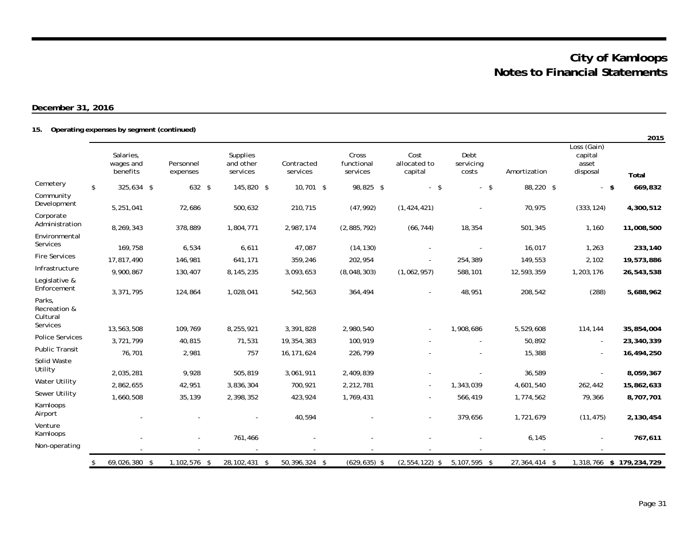# **December 31, 2016**

# **15. Operating expenses by segment (continued)**

|                                                |                    |                                    |                       |                                   |                        |                                 |                                 |                            |                       |                                             | 2015                     |
|------------------------------------------------|--------------------|------------------------------------|-----------------------|-----------------------------------|------------------------|---------------------------------|---------------------------------|----------------------------|-----------------------|---------------------------------------------|--------------------------|
|                                                |                    | Salaries,<br>wages and<br>benefits | Personnel<br>expenses | Supplies<br>and other<br>services | Contracted<br>services | Cross<br>functional<br>services | Cost<br>allocated to<br>capital | Debt<br>servicing<br>costs | Amortization          | Loss (Gain)<br>capital<br>asset<br>disposal | Total                    |
| Cemetery                                       | $\mathbf{\hat{z}}$ | 325,634 \$                         | $632$ \$              | 145,820 \$                        | $10,701$ \$            | 98,825 \$                       | $-$ \$                          | $-$ \$                     | 88,220 \$             | - \$                                        | 669,832                  |
| Community<br>Development                       |                    | 5,251,041                          | 72,686                | 500,632                           | 210,715                | (47, 992)                       | (1, 424, 421)                   |                            | 70,975                | (333, 124)                                  | 4,300,512                |
| Corporate<br>Administration                    |                    | 8,269,343                          | 378,889               | 1,804,771                         | 2,987,174              | (2,885,792)                     | (66, 744)                       | 18,354                     | 501,345               | 1,160                                       | 11,008,500               |
| Environmental<br>Services                      |                    | 169,758                            | 6,534                 | 6,611                             | 47,087                 | (14, 130)                       |                                 |                            | 16,017                | 1,263                                       | 233,140                  |
| <b>Fire Services</b>                           |                    |                                    |                       |                                   |                        |                                 |                                 |                            |                       |                                             |                          |
| Infrastructure                                 |                    | 17,817,490                         | 146,981               | 641,171                           | 359,246                | 202,954                         |                                 | 254,389                    | 149,553               | 2,102                                       | 19,573,886               |
| Legislative &<br>Enforcement                   |                    | 9,900,867<br>3,371,795             | 130,407<br>124,864    | 8,145,235<br>1,028,041            | 3,093,653<br>542,563   | (8,048,303)<br>364,494          | (1,062,957)                     | 588,101<br>48,951          | 12,593,359<br>208,542 | 1,203,176<br>(288)                          | 26,543,538<br>5,688,962  |
| Parks,<br>Recreation &<br>Cultural<br>Services |                    |                                    |                       |                                   |                        |                                 |                                 |                            |                       |                                             |                          |
|                                                |                    | 13,563,508                         | 109,769               | 8,255,921                         | 3,391,828              | 2,980,540                       | $\sim$                          | 1,908,686                  | 5,529,608             | 114,144                                     | 35,854,004               |
| <b>Police Services</b>                         |                    | 3,721,799                          | 40,815                | 71,531                            | 19,354,383             | 100,919                         |                                 | $\overline{\phantom{a}}$   | 50,892                | $\blacksquare$                              | 23,340,339               |
| Public Transit                                 |                    | 76,701                             | 2,981                 | 757                               | 16, 171, 624           | 226,799                         |                                 |                            | 15,388                | $\blacksquare$                              | 16,494,250               |
| Solid Waste<br>Utility                         |                    | 2,035,281                          | 9,928                 | 505,819                           | 3,061,911              | 2,409,839                       |                                 |                            | 36,589                | ä,                                          | 8,059,367                |
| <b>Water Utility</b>                           |                    | 2,862,655                          | 42,951                | 3,836,304                         | 700,921                | 2,212,781                       | $\overline{\phantom{a}}$        | 1,343,039                  | 4,601,540             | 262,442                                     | 15,862,633               |
| Sewer Utility                                  |                    | 1,660,508                          | 35,139                | 2,398,352                         | 423,924                | 1,769,431                       | $\overline{\phantom{m}}$        | 566,419                    | 1,774,562             | 79,366                                      | 8,707,701                |
| Kamloops<br>Airport                            |                    |                                    |                       |                                   | 40.594                 |                                 | $\overline{\phantom{a}}$        | 379.656                    | 1.721.679             | (11, 475)                                   | 2,130,454                |
| Venture<br>Kamloops                            |                    |                                    |                       | 761,466                           |                        |                                 |                                 |                            | 6,145                 |                                             | 767,611                  |
| Non-operating                                  |                    |                                    |                       |                                   |                        |                                 |                                 |                            |                       |                                             |                          |
|                                                |                    | 69,026,380 \$                      | 1,102,576 \$          | 28, 102, 431 \$                   | 50,396,324 \$          | $(629, 635)$ \$                 | $(2,554,122)$ \$                | 5,107,595 \$               | 27,364,414 \$         |                                             | 1,318,766 \$ 179,234,729 |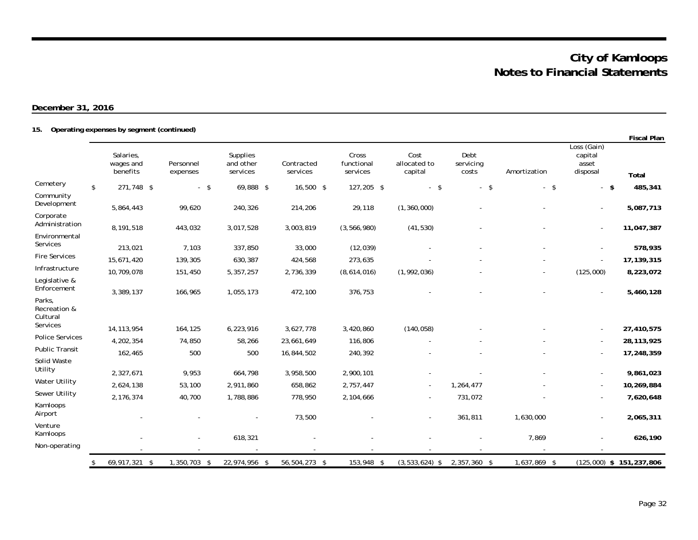# **December 31, 2016**

## **15. Operating expenses by segment (continued)**

|                                                |                    |                                    |                       |                                   |                        |                                 |                                 |                            |              |                                             | <b>Fiscal Plan</b>         |
|------------------------------------------------|--------------------|------------------------------------|-----------------------|-----------------------------------|------------------------|---------------------------------|---------------------------------|----------------------------|--------------|---------------------------------------------|----------------------------|
|                                                |                    | Salaries,<br>wages and<br>benefits | Personnel<br>expenses | Supplies<br>and other<br>services | Contracted<br>services | Cross<br>functional<br>services | Cost<br>allocated to<br>capital | Debt<br>servicing<br>costs | Amortization | Loss (Gain)<br>capital<br>asset<br>disposal | Total                      |
| Cemetery                                       | $\mathbf{\hat{z}}$ | 271,748 \$                         | $-$ \$                | 69,888 \$                         | $16,500$ \$            | 127,205 \$                      | $-5$                            | $-$ \$                     | $-$ \$       | $-$ \$                                      | 485,341                    |
| Community<br>Development                       |                    | 5,864,443                          | 99,620                | 240,326                           | 214,206                | 29,118                          | (1, 360, 000)                   |                            |              | $\blacksquare$                              | 5,087,713                  |
| Corporate<br>Administration                    |                    | 8,191,518                          | 443,032               | 3,017,528                         | 3,003,819              | (3,566,980)                     | (41, 530)                       |                            |              | $\blacksquare$                              | 11,047,387                 |
| Environmental<br>Services                      |                    | 213,021                            | 7.103                 | 337,850                           | 33,000                 | (12, 039)                       |                                 |                            |              |                                             | 578,935                    |
| <b>Fire Services</b>                           |                    |                                    |                       |                                   |                        |                                 |                                 |                            |              | $\overline{\phantom{a}}$                    |                            |
| Infrastructure                                 |                    | 15,671,420                         | 139,305               | 630,387                           | 424,568                | 273,635                         |                                 |                            |              | $\blacksquare$                              | 17,139,315                 |
| Legislative &<br>Enforcement                   |                    | 10,709,078<br>3,389,137            | 151,450<br>166,965    | 5,357,257<br>1,055,173            | 2,736,339<br>472,100   | (8,614,016)<br>376,753          | (1,992,036)                     |                            |              | (125,000)                                   | 8,223,072<br>5,460,128     |
| Parks,<br>Recreation &<br>Cultural<br>Services |                    |                                    |                       |                                   |                        |                                 |                                 |                            |              |                                             |                            |
| <b>Police Services</b>                         |                    | 14, 113, 954                       | 164,125               | 6,223,916                         | 3,627,778              | 3,420,860                       | (140, 058)                      |                            |              | $\sim$                                      | 27,410,575                 |
| Public Transit                                 |                    | 4,202,354                          | 74,850                | 58,266                            | 23,661,649             | 116,806                         |                                 |                            |              | $\blacksquare$                              | 28, 113, 925               |
| Solid Waste                                    |                    | 162,465                            | 500                   | 500                               | 16,844,502             | 240,392                         |                                 |                            |              | $\mathbf{r}$                                | 17,248,359                 |
| Utility                                        |                    | 2,327,671                          | 9,953                 | 664,798                           | 3,958,500              | 2,900,101                       |                                 |                            |              | $\blacksquare$                              | 9,861,023                  |
| Water Utility                                  |                    | 2,624,138                          | 53,100                | 2,911,860                         | 658,862                | 2,757,447                       | $\sim$                          | 1,264,477                  |              | $\blacksquare$                              | 10,269,884                 |
| Sewer Utility                                  |                    | 2,176,374                          | 40,700                | 1,788,886                         | 778,950                | 2,104,666                       | ۰                               | 731,072                    |              | $\sim$                                      | 7,620,648                  |
| Kamloops<br>Airport                            |                    |                                    |                       |                                   | 73,500                 |                                 | $\overline{\phantom{a}}$        | 361,811                    | 1,630,000    |                                             | 2,065,311                  |
| Venture<br>Kamloops                            |                    |                                    |                       | 618,321                           |                        |                                 |                                 |                            | 7,869        |                                             | 626,190                    |
| Non-operating                                  |                    |                                    |                       |                                   |                        |                                 |                                 |                            |              |                                             |                            |
|                                                |                    | 69,917,321 \$                      | 1,350,703 \$          | 22,974,956 \$                     | 56,504,273 \$          | 153,948 \$                      | $(3,533,624)$ \$                | 2,357,360 \$               | 1,637,869 \$ |                                             | $(125,000)$ \$ 151,237,806 |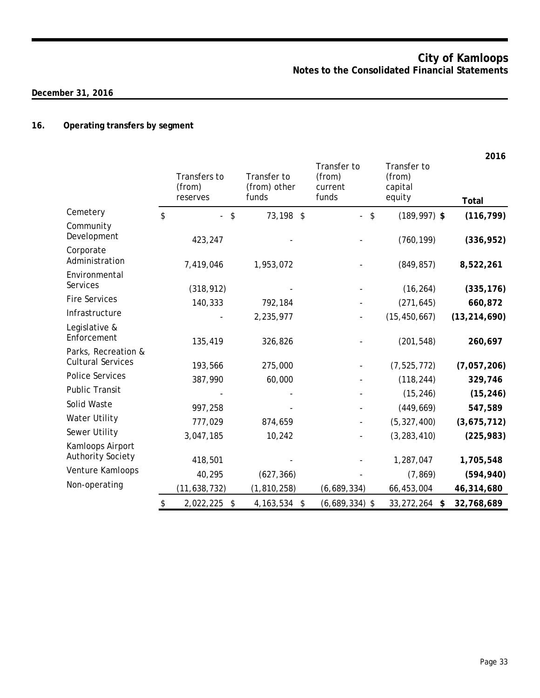# **16. Operating transfers by segment**

|                                                 |               |                                    |                                      |                                           |                                            | 2016                      |
|-------------------------------------------------|---------------|------------------------------------|--------------------------------------|-------------------------------------------|--------------------------------------------|---------------------------|
|                                                 |               | Transfers to<br>(from)<br>reserves | Transfer to<br>(from) other<br>funds | Transfer to<br>(from)<br>current<br>funds | Transfer to<br>(from)<br>capital<br>equity | Total                     |
| Cemetery                                        | \$            |                                    | \$<br>73,198 \$                      |                                           | \$<br>$(189, 997)$ \$                      | (116, 799)                |
| Community<br>Development                        |               | 423,247                            |                                      |                                           | (760, 199)                                 | (336, 952)                |
| Corporate<br>Administration                     |               | 7,419,046                          | 1,953,072                            |                                           | (849, 857)                                 | 8,522,261                 |
| Environmental<br>Services                       |               |                                    |                                      |                                           |                                            |                           |
| <b>Fire Services</b>                            |               | (318, 912)                         |                                      |                                           | (16, 264)                                  | (335, 176)                |
| Infrastructure                                  |               | 140,333                            | 792,184                              |                                           | (271, 645)                                 | 660,872                   |
| Legislative &<br>Enforcement                    |               | 135,419                            | 2,235,977<br>326,826                 |                                           | (15, 450, 667)<br>(201, 548)               | (13, 214, 690)<br>260,697 |
| Parks, Recreation &<br><b>Cultural Services</b> |               | 193,566                            | 275,000                              |                                           | (7, 525, 772)                              | (7,057,206)               |
| <b>Police Services</b>                          |               | 387,990                            | 60,000                               |                                           | (118, 244)                                 | 329,746                   |
| <b>Public Transit</b>                           |               |                                    |                                      |                                           | (15, 246)                                  | (15, 246)                 |
| Solid Waste                                     |               | 997,258                            |                                      |                                           | (449, 669)                                 | 547,589                   |
| <b>Water Utility</b>                            |               | 777,029                            | 874,659                              |                                           | (5, 327, 400)                              | (3,675,712)               |
| Sewer Utility                                   |               | 3,047,185                          | 10,242                               |                                           | (3, 283, 410)                              | (225, 983)                |
| Kamloops Airport<br><b>Authority Society</b>    |               | 418,501                            |                                      |                                           | 1,287,047                                  | 1,705,548                 |
| Venture Kamloops                                |               | 40,295                             | (627, 366)                           |                                           | (7, 869)                                   | (594, 940)                |
| Non-operating                                   |               | (11, 638, 732)                     | (1, 810, 258)                        | (6,689,334)                               | 66,453,004                                 | 46,314,680                |
|                                                 | $\frac{1}{2}$ | 2,022,225 \$                       | 4, 163, 534 \$                       | $(6,689,334)$ \$                          | 33,272,264 \$                              | 32,768,689                |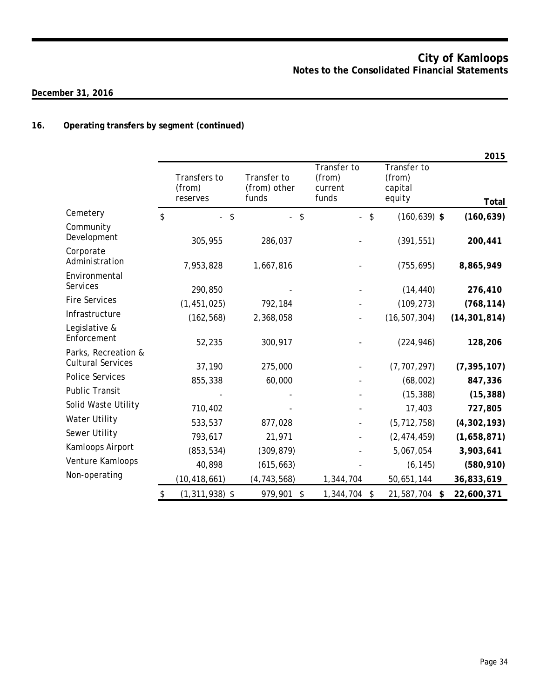# **16. Operating transfers by segment (continued)**

|                                                 |                                    |                                      |        |                                           |                                            | 2015           |
|-------------------------------------------------|------------------------------------|--------------------------------------|--------|-------------------------------------------|--------------------------------------------|----------------|
|                                                 | Transfers to<br>(from)<br>reserves | Transfer to<br>(from) other<br>funds |        | Transfer to<br>(from)<br>current<br>funds | Transfer to<br>(from)<br>capital<br>equity | Total          |
| Cemetery                                        | \$<br>$-$ \$                       |                                      | $-$ \$ |                                           | \$<br>$(160, 639)$ \$                      | (160, 639)     |
| Community<br>Development                        | 305,955                            | 286,037                              |        |                                           | (391, 551)                                 | 200,441        |
| Corporate<br>Administration                     | 7,953,828                          | 1,667,816                            |        |                                           | (755, 695)                                 | 8,865,949      |
| Environmental<br>Services                       | 290,850                            |                                      |        |                                           | (14, 440)                                  | 276,410        |
| <b>Fire Services</b>                            | (1, 451, 025)                      | 792,184                              |        |                                           | (109, 273)                                 | (768, 114)     |
| Infrastructure                                  | (162, 568)                         | 2,368,058                            |        |                                           | (16, 507, 304)                             | (14, 301, 814) |
| Legislative &<br>Enforcement                    | 52,235                             | 300,917                              |        |                                           | (224, 946)                                 | 128,206        |
| Parks, Recreation &<br><b>Cultural Services</b> | 37,190                             | 275,000                              |        |                                           | (7, 707, 297)                              | (7, 395, 107)  |
| <b>Police Services</b>                          | 855,338                            | 60,000                               |        |                                           | (68,002)                                   | 847,336        |
| <b>Public Transit</b>                           |                                    |                                      |        |                                           | (15, 388)                                  | (15, 388)      |
| Solid Waste Utility                             | 710,402                            |                                      |        |                                           | 17,403                                     | 727,805        |
| <b>Water Utility</b>                            | 533,537                            | 877,028                              |        |                                           | (5, 712, 758)                              | (4, 302, 193)  |
| Sewer Utility                                   | 793,617                            | 21,971                               |        |                                           | (2, 474, 459)                              | (1,658,871)    |
| Kamloops Airport                                | (853, 534)                         | (309, 879)                           |        |                                           | 5,067,054                                  | 3,903,641      |
| Venture Kamloops                                | 40,898                             | (615, 663)                           |        |                                           | (6, 145)                                   | (580, 910)     |
| Non-operating                                   | (10, 418, 661)                     | (4, 743, 568)                        |        | 1,344,704                                 | 50,651,144                                 | 36,833,619     |
|                                                 | \$<br>$(1,311,938)$ \$             | 979,901 \$                           |        | 1,344,704 \$                              | 21,587,704<br>\$                           | 22,600,371     |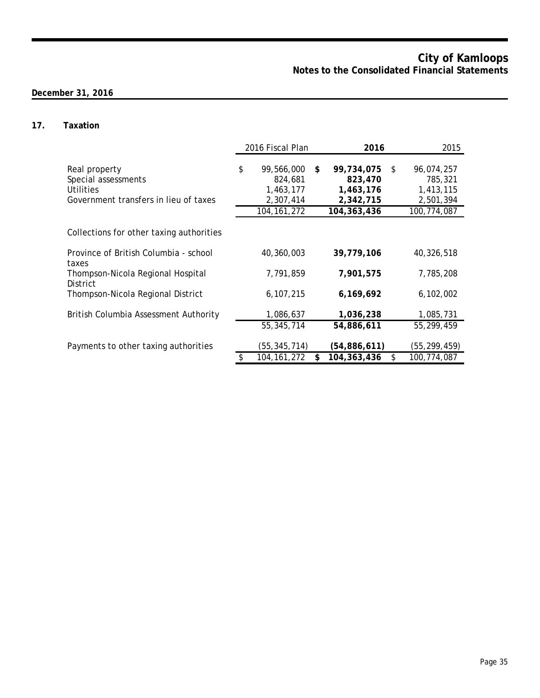# **City of Kamloops Notes to the Consolidated Financial Statements**

# **December 31, 2016**

# **17. Taxation**

|                                                                                            | 2016 Fiscal Plan |                                                                  | 2016 | 2015                                                           |                                                                      |
|--------------------------------------------------------------------------------------------|------------------|------------------------------------------------------------------|------|----------------------------------------------------------------|----------------------------------------------------------------------|
| Real property<br>Special assessments<br>Utilities<br>Government transfers in lieu of taxes | \$               | 99,566,000<br>824,681<br>1,463,177<br>2,307,414<br>104, 161, 272 | \$   | 99,734,075<br>823,470<br>1,463,176<br>2,342,715<br>104,363,436 | \$<br>96,074,257<br>785,321<br>1,413,115<br>2,501,394<br>100,774,087 |
| Collections for other taxing authorities                                                   |                  |                                                                  |      |                                                                |                                                                      |
| Province of British Columbia - school<br>taxes                                             |                  | 40,360,003                                                       |      | 39,779,106                                                     | 40,326,518                                                           |
| Thompson-Nicola Regional Hospital<br><b>District</b>                                       |                  | 7,791,859                                                        |      | 7,901,575                                                      | 7,785,208                                                            |
| Thompson-Nicola Regional District                                                          |                  | 6,107,215                                                        |      | 6,169,692                                                      | 6,102,002                                                            |
| British Columbia Assessment Authority                                                      |                  | 1,086,637                                                        |      | 1,036,238                                                      | 1,085,731                                                            |
|                                                                                            |                  | 55, 345, 714                                                     |      | 54,886,611                                                     | 55,299,459                                                           |
| Payments to other taxing authorities                                                       |                  | (55, 345, 714)                                                   |      | (54,886,611)                                                   | (55, 299, 459)                                                       |
|                                                                                            | S                | 104, 161, 272                                                    | \$   | 104,363,436                                                    | \$<br>100,774,087                                                    |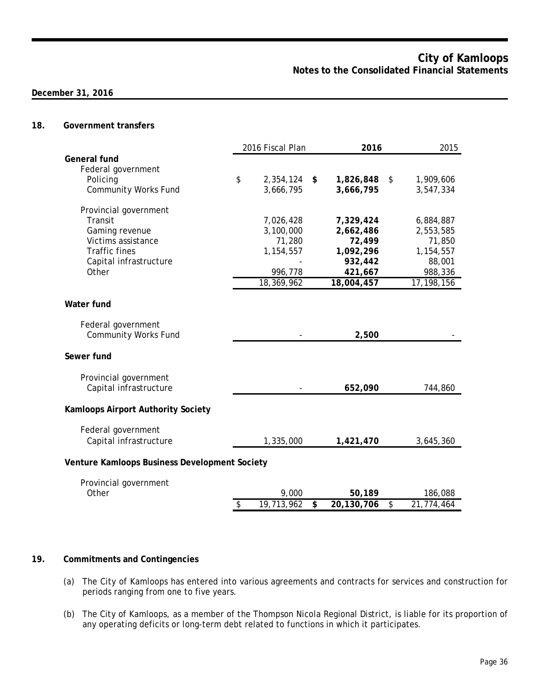# **18. Government transfers**

|                                               | 2016 Fiscal Plan | 2016             | 2015             |
|-----------------------------------------------|------------------|------------------|------------------|
| General fund                                  |                  |                  |                  |
| Federal government                            |                  |                  |                  |
| Policing                                      | \$<br>2,354,124  | \$<br>1,826,848  | \$<br>1,909,606  |
| <b>Community Works Fund</b>                   | 3,666,795        | 3,666,795        | 3,547,334        |
| Provincial government                         |                  |                  |                  |
| Transit                                       | 7,026,428        | 7,329,424        | 6,884,887        |
| Gaming revenue                                | 3,100,000        | 2,662,486        | 2,553,585        |
| Victims assistance                            | 71,280           | 72,499           | 71,850           |
| <b>Traffic fines</b>                          | 1,154,557        | 1,092,296        | 1,154,557        |
| Capital infrastructure                        |                  | 932,442          | 88,001           |
| Other                                         | 996,778          | 421,667          | 988,336          |
|                                               | 18,369,962       | 18,004,457       | 17, 198, 156     |
| Water fund                                    |                  |                  |                  |
| Federal government                            |                  |                  |                  |
| <b>Community Works Fund</b>                   |                  | 2,500            |                  |
| Sewer fund                                    |                  |                  |                  |
| Provincial government                         |                  |                  |                  |
| Capital infrastructure                        |                  | 652,090          | 744,860          |
| <b>Kamloops Airport Authority Society</b>     |                  |                  |                  |
| Federal government                            |                  |                  |                  |
| Capital infrastructure                        | 1,335,000        | 1,421,470        | 3,645,360        |
| Venture Kamloops Business Development Society |                  |                  |                  |
| Provincial government                         |                  |                  |                  |
| Other                                         | 9,000            | 50,189           | 186,088          |
|                                               | \$<br>19,713,962 | \$<br>20,130,706 | \$<br>21,774,464 |

# **19. Commitments and Contingencies**

- (a) The City of Kamloops has entered into various agreements and contracts for services and construction for periods ranging from one to five years.
- (b) The City of Kamloops, as a member of the Thompson Nicola Regional District, is liable for its proportion of any operating deficits or long-term debt related to functions in which it participates.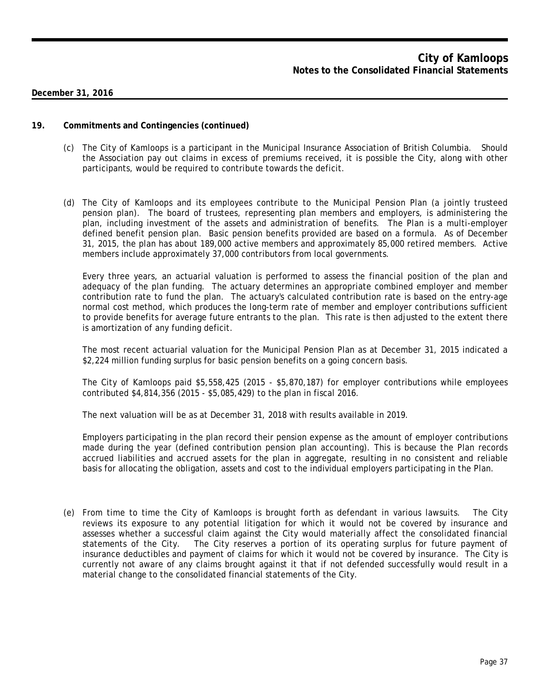# **19. Commitments and Contingencies (continued)**

- (c) The City of Kamloops is a participant in the Municipal Insurance Association of British Columbia. Should the Association pay out claims in excess of premiums received, it is possible the City, along with other participants, would be required to contribute towards the deficit.
- (d) The City of Kamloops and its employees contribute to the Municipal Pension Plan (a jointly trusteed pension plan). The board of trustees, representing plan members and employers, is administering the plan, including investment of the assets and administration of benefits. The Plan is a multi-employer defined benefit pension plan. Basic pension benefits provided are based on a formula. As of December 31, 2015, the plan has about 189,000 active members and approximately 85,000 retired members. Active members include approximately 37,000 contributors from local governments.

Every three years, an actuarial valuation is performed to assess the financial position of the plan and adequacy of the plan funding. The actuary determines an appropriate combined employer and member contribution rate to fund the plan. The actuary's calculated contribution rate is based on the entry-age normal cost method, which produces the long-term rate of member and employer contributions sufficient to provide benefits for average future entrants to the plan. This rate is then adjusted to the extent there is amortization of any funding deficit.

The most recent actuarial valuation for the Municipal Pension Plan as at December 31, 2015 indicated a \$2,224 million funding surplus for basic pension benefits on a going concern basis.

The City of Kamloops paid \$5,558,425 (2015 - \$5,870,187) for employer contributions while employees contributed \$4,814,356 (2015 - \$5,085,429) to the plan in fiscal 2016.

The next valuation will be as at December 31, 2018 with results available in 2019.

Employers participating in the plan record their pension expense as the amount of employer contributions made during the year (defined contribution pension plan accounting). This is because the Plan records accrued liabilities and accrued assets for the plan in aggregate, resulting in no consistent and reliable basis for allocating the obligation, assets and cost to the individual employers participating in the Plan.

(e) From time to time the City of Kamloops is brought forth as defendant in various lawsuits. The City reviews its exposure to any potential litigation for which it would not be covered by insurance and assesses whether a successful claim against the City would materially affect the consolidated financial statements of the City. The City reserves a portion of its operating surplus for future payment of insurance deductibles and payment of claims for which it would not be covered by insurance. The City is currently not aware of any claims brought against it that if not defended successfully would result in a material change to the consolidated financial statements of the City.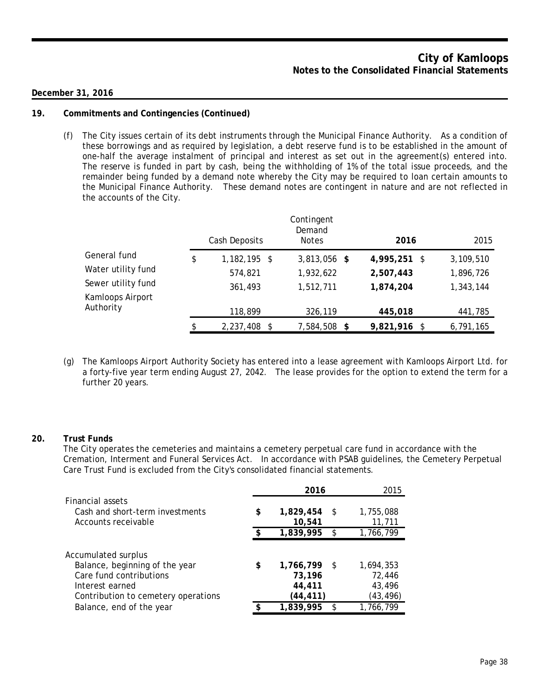# **19. Commitments and Contingencies (Continued)**

(f) The City issues certain of its debt instruments through the Municipal Finance Authority. As a condition of these borrowings and as required by legislation, a debt reserve fund is to be established in the amount of one-half the average instalment of principal and interest as set out in the agreement(s) entered into. The reserve is funded in part by cash, being the withholding of 1% of the total issue proceeds, and the remainder being funded by a demand note whereby the City may be required to loan certain amounts to the Municipal Finance Authority. These demand notes are contingent in nature and are not reflected in the accounts of the City.

|                               | Cash Deposits      | Contingent<br>Demand<br><b>Notes</b> | 2016              | 2015      |
|-------------------------------|--------------------|--------------------------------------|-------------------|-----------|
| General fund                  | \$<br>1,182,195 \$ | 3,813,056 \$                         | 4,995,251 \$      | 3,109,510 |
| Water utility fund            | 574,821            | 1,932,622                            | 2,507,443         | 1,896,726 |
| Sewer utility fund            | 361,493            | 1,512,711                            | 1,874,204         | 1,343,144 |
| Kamloops Airport<br>Authority | 118,899            | 326,119                              | 445,018           | 441,785   |
|                               | 2,237,408<br>- \$  | 7,584,508<br>-\$                     | 9,821,916<br>- \$ | 6,791,165 |

(g) The Kamloops Airport Authority Society has entered into a lease agreement with Kamloops Airport Ltd. for a forty-five year term ending August 27, 2042. The lease provides for the option to extend the term for a further 20 years.

# **20. Trust Funds**

The City operates the cemeteries and maintains a cemetery perpetual care fund in accordance with the Cremation, Interment and Funeral Services Act. In accordance with PSAB guidelines, the Cemetery Perpetual Care Trust Fund is excluded from the City's consolidated financial statements.

|                                                                            | 2016                      |     | 2015                |
|----------------------------------------------------------------------------|---------------------------|-----|---------------------|
| Financial assets<br>Cash and short-term investments<br>Accounts receivable | \$<br>1,829,454<br>10,541 | -S  | 1,755,088<br>11,711 |
|                                                                            | \$<br>1,839,995           | -\$ | 1,766,799           |
| Accumulated surplus                                                        |                           |     |                     |
| Balance, beginning of the year                                             | \$<br>1,766,799<br>- \$   |     | 1.694.353           |
| Care fund contributions                                                    | 73,196                    |     | 72,446              |
| Interest earned                                                            | 44,411                    |     | 43,496              |
| Contribution to cemetery operations                                        | (44, 411)                 |     | (43, 496)           |
| Balance, end of the year                                                   | \$<br>1,839,995           | S   | 1,766,799           |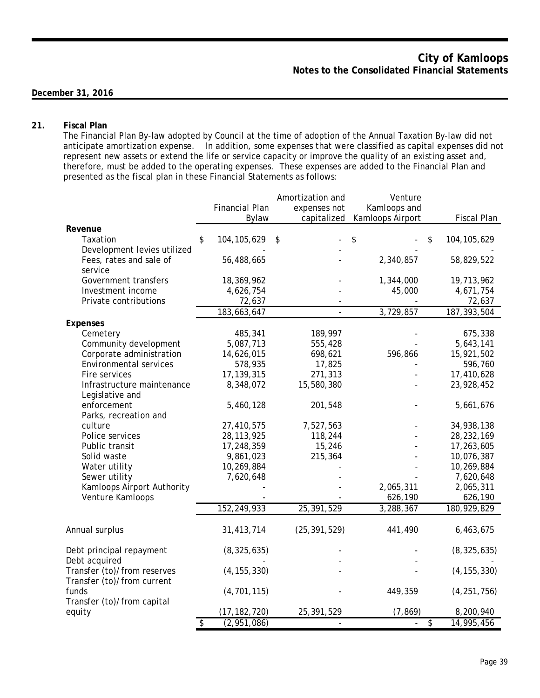# **21. Fiscal Plan**

The Financial Plan By-law adopted by Council at the time of adoption of the Annual Taxation By-law did not anticipate amortization expense. In addition, some expenses that were classified as capital expenses did not represent new assets or extend the life or service capacity or improve the quality of an existing asset and, therefore, must be added to the operating expenses. These expenses are added to the Financial Plan and presented as the fiscal plan in these Financial Statements as follows:

|                                               |            |                       | Amortization and | Venture          |                     |
|-----------------------------------------------|------------|-----------------------|------------------|------------------|---------------------|
|                                               |            | <b>Financial Plan</b> | expenses not     | Kamloops and     |                     |
|                                               |            | Bylaw                 | capitalized      | Kamloops Airport | Fiscal Plan         |
| Revenue                                       |            |                       |                  |                  |                     |
| Taxation                                      | \$         | 104, 105, 629         | \$               | \$               | \$<br>104, 105, 629 |
| Development levies utilized                   |            |                       |                  |                  |                     |
| Fees, rates and sale of                       |            | 56,488,665            |                  | 2,340,857        | 58,829,522          |
| service                                       |            |                       |                  |                  |                     |
| Government transfers                          |            | 18,369,962            |                  | 1,344,000        | 19,713,962          |
| Investment income                             |            | 4,626,754             |                  | 45,000           | 4,671,754           |
| Private contributions                         |            | 72,637                |                  |                  | 72,637              |
|                                               |            | 183,663,647           |                  | 3,729,857        | 187, 393, 504       |
| <b>Expenses</b>                               |            |                       |                  |                  |                     |
| Cemetery                                      |            | 485,341               | 189,997          |                  | 675,338             |
| Community development                         |            | 5,087,713             | 555,428          |                  | 5,643,141           |
| Corporate administration                      |            | 14,626,015            | 698,621          | 596,866          | 15,921,502          |
| <b>Environmental services</b>                 |            | 578,935               | 17,825           |                  | 596,760             |
| Fire services                                 |            | 17, 139, 315          | 271,313          |                  | 17,410,628          |
| Infrastructure maintenance<br>Legislative and |            | 8,348,072             | 15,580,380       |                  | 23,928,452          |
| enforcement                                   |            | 5,460,128             | 201,548          |                  | 5,661,676           |
| Parks, recreation and                         |            |                       |                  |                  |                     |
| culture                                       |            | 27,410,575            | 7,527,563        |                  | 34,938,138          |
| Police services                               |            | 28, 113, 925          | 118,244          |                  | 28,232,169          |
| Public transit                                |            | 17,248,359            | 15,246           |                  | 17,263,605          |
| Solid waste                                   |            | 9,861,023             | 215,364          |                  | 10,076,387          |
| Water utility                                 |            | 10,269,884            |                  |                  | 10,269,884          |
| Sewer utility                                 |            | 7,620,648             |                  |                  | 7,620,648           |
| Kamloops Airport Authority                    |            |                       |                  | 2,065,311        | 2,065,311           |
| Venture Kamloops                              |            |                       |                  | 626,190          | 626,190             |
|                                               |            | 152,249,933           | 25,391,529       | 3,288,367        | 180,929,829         |
|                                               |            |                       |                  |                  |                     |
| Annual surplus                                |            | 31,413,714            | (25, 391, 529)   | 441,490          | 6,463,675           |
|                                               |            |                       |                  |                  |                     |
| Debt principal repayment                      |            | (8, 325, 635)         |                  |                  | (8, 325, 635)       |
| Debt acquired                                 |            |                       |                  |                  |                     |
| Transfer (to)/from reserves                   |            | (4, 155, 330)         |                  |                  | (4, 155, 330)       |
| Transfer (to)/from current                    |            |                       |                  |                  |                     |
| funds                                         |            | (4, 701, 115)         |                  | 449,359          | (4, 251, 756)       |
| Transfer (to)/from capital                    |            |                       |                  |                  |                     |
| equity                                        |            | (17, 182, 720)        | 25,391,529       | (7, 869)         | 8,200,940           |
|                                               | $\sqrt{2}$ | (2, 951, 086)         | $\overline{a}$   |                  | \$<br>14,995,456    |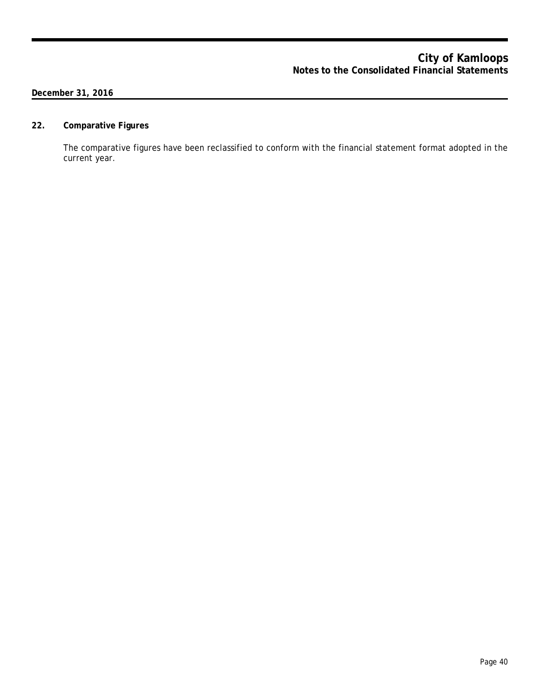# **22. Comparative Figures**

The comparative figures have been reclassified to conform with the financial statement format adopted in the current year.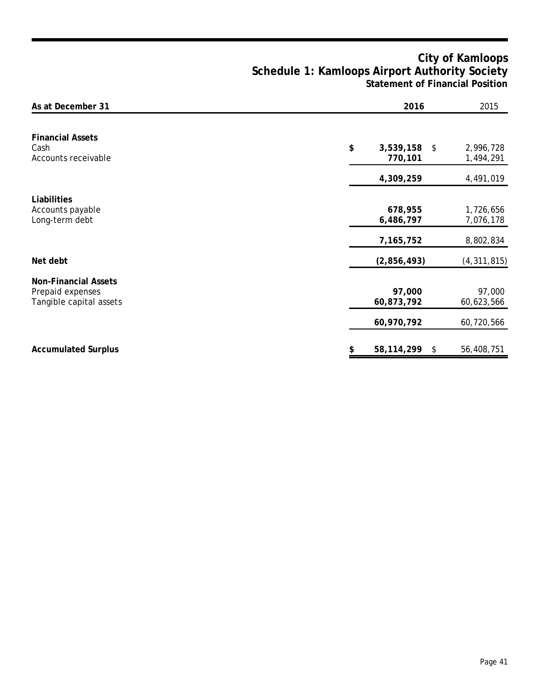# **City of Kamloops Schedule 1: Kamloops Airport Authority Society Statement of Financial Position**

| As at December 31                                                          | 2016                             | 2015                   |
|----------------------------------------------------------------------------|----------------------------------|------------------------|
|                                                                            |                                  |                        |
| <b>Financial Assets</b><br>Cash<br>Accounts receivable                     | \$<br>3,539,158<br>\$<br>770,101 | 2,996,728<br>1,494,291 |
|                                                                            | 4,309,259                        | 4,491,019              |
| Liabilities<br>Accounts payable<br>Long-term debt                          | 678,955<br>6,486,797             | 1,726,656<br>7,076,178 |
|                                                                            | 7,165,752                        | 8,802,834              |
| Net debt                                                                   | (2,856,493)                      | (4, 311, 815)          |
| <b>Non-Financial Assets</b><br>Prepaid expenses<br>Tangible capital assets | 97,000<br>60,873,792             | 97,000<br>60,623,566   |
|                                                                            | 60,970,792                       | 60,720,566             |
| <b>Accumulated Surplus</b>                                                 | 58,114,299<br>\$<br>\$           | 56,408,751             |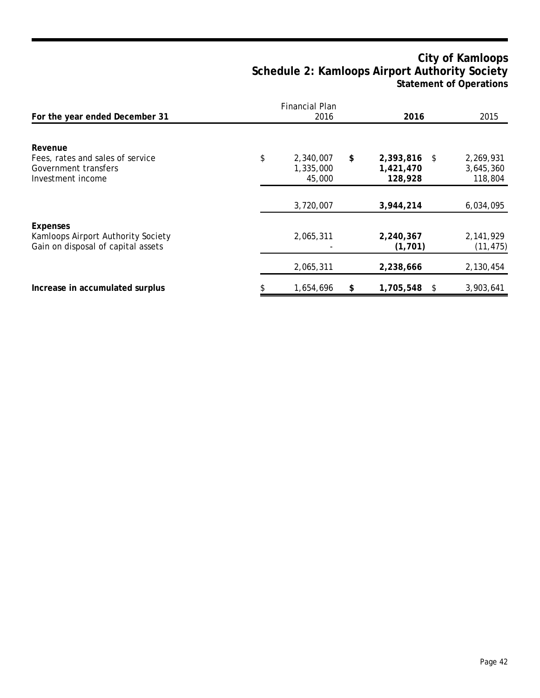# **City of Kamloops Schedule 2: Kamloops Airport Authority Society Statement of Operations**

|                                    | <b>Financial Plan</b> |                 |           |
|------------------------------------|-----------------------|-----------------|-----------|
| For the year ended December 31     | 2016                  | 2016            | 2015      |
|                                    |                       |                 |           |
| Revenue                            |                       |                 |           |
| Fees, rates and sales of service   | \$<br>2,340,007<br>\$ | 2,393,816 \$    | 2,269,931 |
| Government transfers               | 1,335,000             | 1,421,470       | 3,645,360 |
| Investment income                  | 45,000                | 128,928         | 118,804   |
|                                    |                       |                 |           |
|                                    | 3,720,007             | 3,944,214       | 6,034,095 |
| <b>Expenses</b>                    |                       |                 |           |
| Kamloops Airport Authority Society | 2,065,311             | 2,240,367       | 2,141,929 |
| Gain on disposal of capital assets |                       | (1, 701)        | (11, 475) |
|                                    | 2,065,311             | 2,238,666       | 2,130,454 |
| Increase in accumulated surplus    | \$<br>1,654,696<br>\$ | 1,705,548<br>S. | 3,903,641 |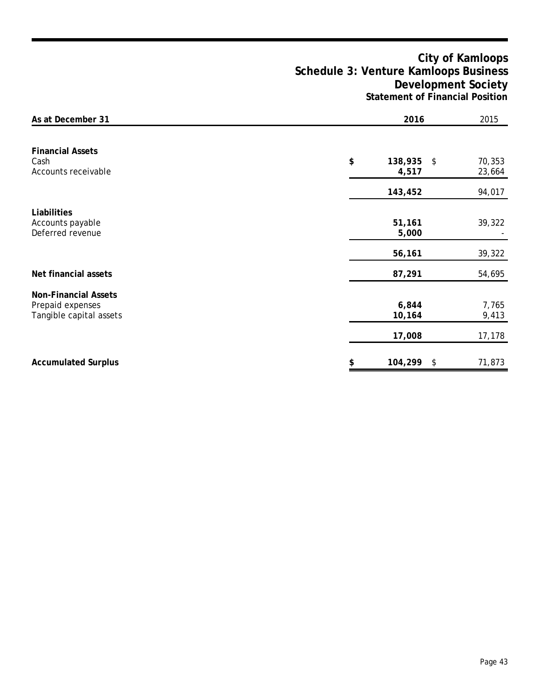# **City of Kamloops Schedule 3: Venture Kamloops Business Development Society Statement of Financial Position**

| As at December 31           | 2016                        | 2015   |
|-----------------------------|-----------------------------|--------|
|                             |                             |        |
| <b>Financial Assets</b>     |                             |        |
| Cash                        | \$<br>138,935<br>$\sqrt{2}$ | 70,353 |
| Accounts receivable         | 4,517                       | 23,664 |
|                             | 143,452                     | 94,017 |
| Liabilities                 |                             |        |
| Accounts payable            | 51,161                      | 39,322 |
| Deferred revenue            | 5,000                       |        |
|                             | 56,161                      | 39,322 |
| Net financial assets        | 87,291                      | 54,695 |
| <b>Non-Financial Assets</b> |                             |        |
| Prepaid expenses            | 6,844                       | 7,765  |
| Tangible capital assets     | 10,164                      | 9,413  |
|                             | 17,008                      | 17,178 |
| <b>Accumulated Surplus</b>  | 104,299<br>\$<br>\$         | 71,873 |